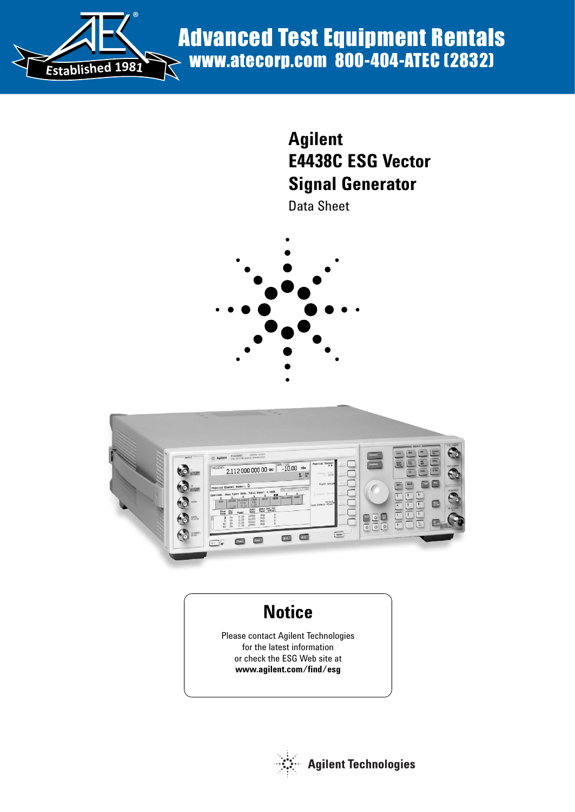

# **Agilent E4438C ESG Vector Signal Generator**

Data Sheet





# **Notice**

Please contact Agilent Technologies for the latest information or check the ESG Web site at **www.agilent.com/find/esg**

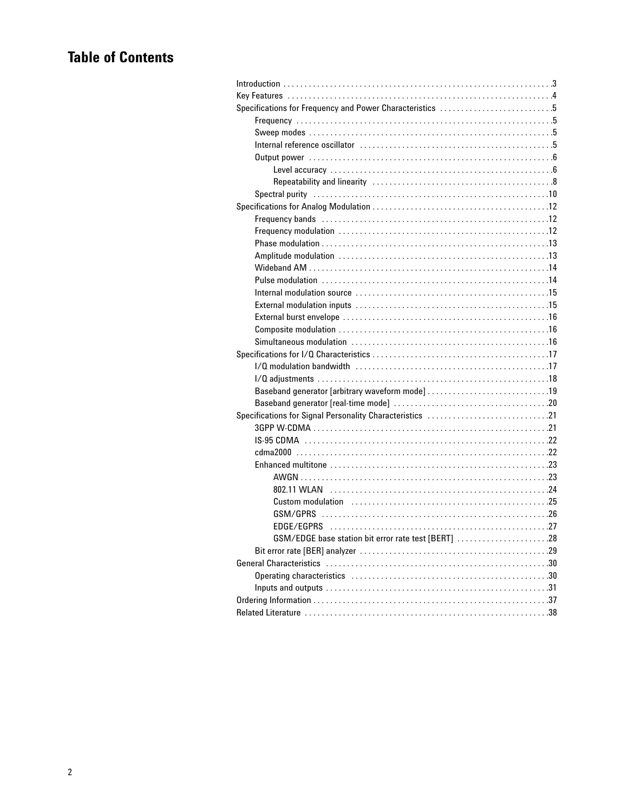# **Table of Contents**

| Specifications for Frequency and Power Characteristics 5 |  |
|----------------------------------------------------------|--|
|                                                          |  |
|                                                          |  |
|                                                          |  |
|                                                          |  |
|                                                          |  |
|                                                          |  |
|                                                          |  |
|                                                          |  |
|                                                          |  |
|                                                          |  |
|                                                          |  |
|                                                          |  |
|                                                          |  |
|                                                          |  |
|                                                          |  |
|                                                          |  |
|                                                          |  |
|                                                          |  |
|                                                          |  |
|                                                          |  |
|                                                          |  |
|                                                          |  |
|                                                          |  |
|                                                          |  |
|                                                          |  |
|                                                          |  |
|                                                          |  |
|                                                          |  |
|                                                          |  |
|                                                          |  |
|                                                          |  |
|                                                          |  |
|                                                          |  |
|                                                          |  |
| GSM/EDGE base station bit error rate test [BERT] 28      |  |
|                                                          |  |
|                                                          |  |
|                                                          |  |
|                                                          |  |
|                                                          |  |
|                                                          |  |
|                                                          |  |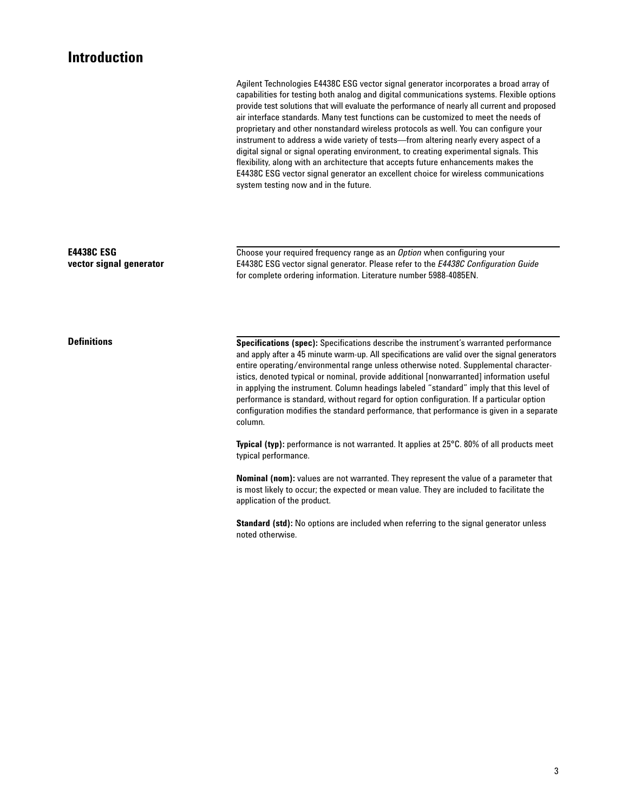### **Introduction**

Agilent Technologies E4438C ESG vector signal generator incorporates a broad array of capabilities for testing both analog and digital communications systems. Flexible options provide test solutions that will evaluate the performance of nearly all current and proposed air interface standards. Many test functions can be customized to meet the needs of proprietary and other nonstandard wireless protocols as well. You can configure your instrument to address a wide variety of tests—from altering nearly every aspect of a digital signal or signal operating environment, to creating experimental signals. This flexibility, along with an architecture that accepts future enhancements makes the E4438C ESG vector signal generator an excellent choice for wireless communications system testing now and in the future.

**E4438C ESG vector signal generator** Choose your required frequency range as an *Option* when configuring your E4438C ESG vector signal generator. Please refer to the *E4438C Configuration Guide* for complete ordering information. Literature number 5988-4085EN.

**Definitions**

**Specifications (spec):** Specifications describe the instrument's warranted performance and apply after a 45 minute warm-up. All specifications are valid over the signal generators entire operating/environmental range unless otherwise noted. Supplemental characteristics, denoted typical or nominal, provide additional [nonwarranted] information useful in applying the instrument. Column headings labeled "standard" imply that this level of performance is standard, without regard for option configuration. If a particular option configuration modifies the standard performance, that performance is given in a separate column.

**Typical (typ):** performance is not warranted. It applies at 25°C. 80% of all products meet typical performance.

**Nominal (nom):** values are not warranted. They represent the value of a parameter that is most likely to occur; the expected or mean value. They are included to facilitate the application of the product.

**Standard (std):** No options are included when referring to the signal generator unless noted otherwise.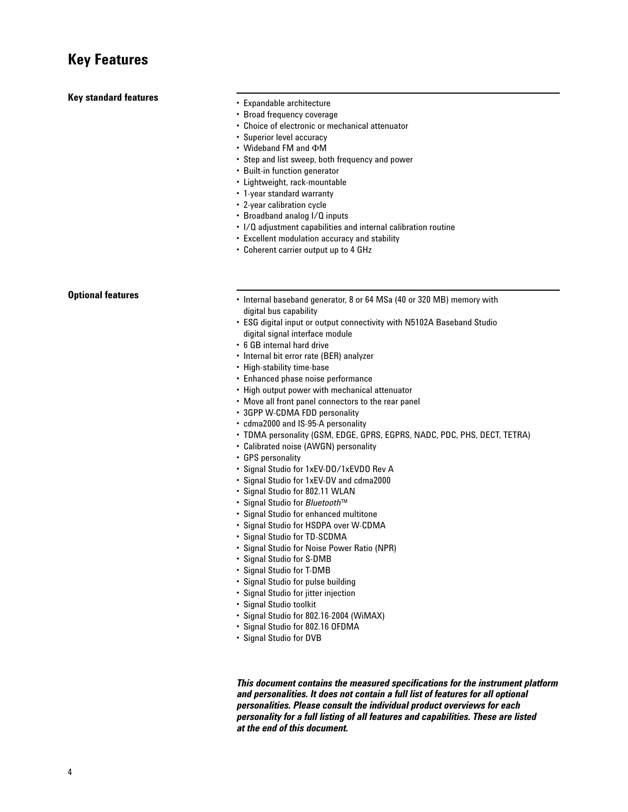#### **Key standard features**

- Expandable architecture
- Broad frequency coverage
- Choice of electronic or mechanical attenuator
- Superior level accuracy
- $\cdot$  Wideband FM and  $\Phi$ M
- Step and list sweep, both frequency and power
- Built-in function generator
- Lightweight, rack-mountable
- 1-year standard warranty
- 2-year calibration cycle
- Broadband analog I/Q inputs
- I/Q adjustment capabilities and internal calibration routine
- Excellent modulation accuracy and stability
- Coherent carrier output up to 4 GHz

#### **Optional features**

- Internal baseband generator, 8 or 64 MSa (40 or 320 MB) memory with digital bus capability
- ESG digital input or output connectivity with N5102A Baseband Studio digital signal interface module
- 6 GB internal hard drive
- Internal bit error rate (BER) analyzer
- High-stability time-base
- Enhanced phase noise performance
- High output power with mechanical attenuator
- Move all front panel connectors to the rear panel
- 3GPP W-CDMA FDD personality
- cdma2000 and IS-95-A personality
- TDMA personality (GSM, EDGE, GPRS, EGPRS, NADC, PDC, PHS, DECT, TETRA)
- Calibrated noise (AWGN) personality
- GPS personality
- Signal Studio for 1xEV-DO/1xEVDO Rev A
- Signal Studio for 1xEV-DV and cdma2000
- Signal Studio for 802.11 WLAN
- Signal Studio for *Bluetooth*™
- Signal Studio for enhanced multitone
- Signal Studio for HSDPA over W-CDMA
- Signal Studio for TD-SCDMA
- Signal Studio for Noise Power Ratio (NPR)
- Signal Studio for S-DMB
- Signal Studio for T-DMB
- Signal Studio for pulse building
- Signal Studio for jitter injection
- Signal Studio toolkit
- Signal Studio for 802.16-2004 (WiMAX)
- Signal Studio for 802.16 OFDMA
- Signal Studio for DVB

*This document contains the measured specifications for the instrument platform and personalities. It does not contain a full list of features for all optional personalities. Please consult the individual product overviews for each personality for a full listing of all features and capabilities. These are listed at the end of this document.*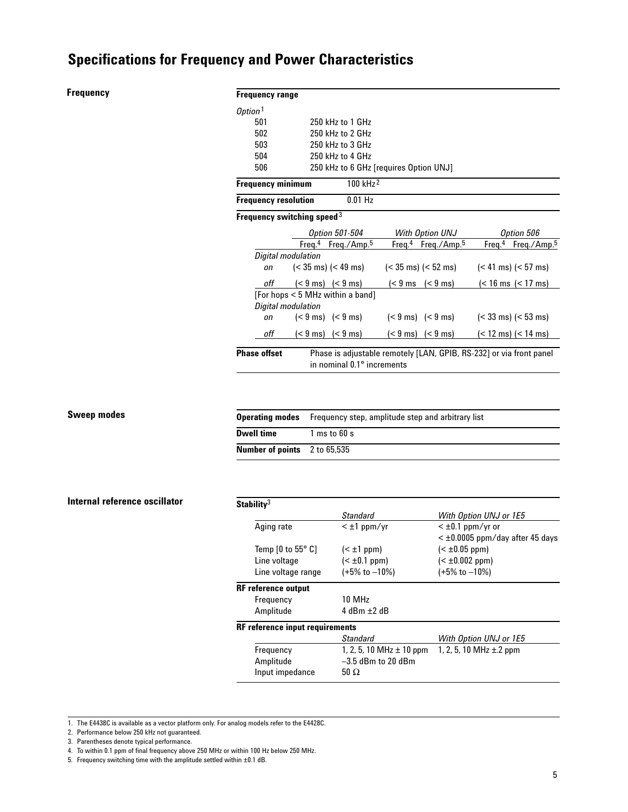#### **Frequency**

#### **Frequency range**

| Option <sup>1</sup>         |                                            |                                                                     |                                               |
|-----------------------------|--------------------------------------------|---------------------------------------------------------------------|-----------------------------------------------|
| 501                         | 250 kHz to 1 GHz                           |                                                                     |                                               |
| 502                         | 250 kHz to 2 GHz                           |                                                                     |                                               |
| 503                         | 250 kHz to 3 GHz                           |                                                                     |                                               |
| 504                         | 250 kHz to 4 GHz                           |                                                                     |                                               |
| 506                         |                                            | 250 kHz to 6 GHz [requires Option UNJ]                              |                                               |
| <b>Frequency minimum</b>    | 100 kHz <sup>2</sup>                       |                                                                     |                                               |
| <b>Frequency resolution</b> | $0.01$ Hz                                  |                                                                     |                                               |
|                             | Frequency switching speed $3$              |                                                                     |                                               |
|                             | <b>Option 501-504</b>                      | With Option UNJ                                                     | Option 506                                    |
|                             | Freq. <sup>4</sup> Freq./Amp. <sup>5</sup> | Freq. <sup>4</sup> Freq./Amp. <sup>5</sup>                          | Freq. <sup>4</sup><br>Freq./Amp. <sup>5</sup> |
| Digital modulation          |                                            |                                                                     |                                               |
| on                          | $(< 35 \text{ ms}) (< 49 \text{ ms})$      | $(< 35 \text{ ms}) (< 52 \text{ ms})$                               | $(< 41 \text{ ms}) (< 57 \text{ ms})$         |
| off                         | $(< 9 \text{ ms})$ $(< 9 \text{ ms})$      | $(< 9 \text{ ms}$ $(< 9 \text{ ms})$                                | (< 16 ms (< 17 ms)                            |
|                             | [For hops < 5 MHz within a band]           |                                                                     |                                               |
| Digital modulation          |                                            |                                                                     |                                               |
| on                          | $(< 9 \text{ ms})$ $(< 9 \text{ ms})$      | $(< 9 \text{ ms})$ $(< 9 \text{ ms})$                               | $(< 33$ ms) $(< 53$ ms)                       |
| off                         | $(< 9 \text{ ms})$ $(< 9 \text{ ms})$      | $(< 9 \text{ ms})$ $(< 9 \text{ ms})$                               | (< 12 ms) (< 14 ms)                           |
| <b>Phase offset</b>         |                                            | Phase is adjustable remotely [LAN, GPIB, RS-232] or via front panel |                                               |
|                             | in nominal 0.1° increments                 |                                                                     |                                               |

#### **Sweep modes**

|                                     | <b>Operating modes</b> Frequency step, amplitude step and arbitrary list |
|-------------------------------------|--------------------------------------------------------------------------|
| <b>Dwell time</b>                   | $1 \text{ ms}$ to 60 s                                                   |
| <b>Number of points</b> 2 to 65,535 |                                                                          |

#### **Internal reference oscillator**

| Stability <sup>3</sup>                      |                              |                                   |
|---------------------------------------------|------------------------------|-----------------------------------|
|                                             | Standard                     | With Option UNJ or 1E5            |
| Aging rate                                  | $<$ $\pm$ 1 ppm/yr           | $<$ ±0.1 ppm/yr or                |
|                                             |                              | $<$ ±0.0005 ppm/day after 45 days |
| Temp $[0 \text{ to } 55^{\circ} \text{ C}]$ | $(\pm 1 ppm)$                | $(\pm 0.05 ppm)$                  |
| Line voltage                                | $(\pm 0.1 ppm)$              | $(\pm 0.002 ppm)$                 |
| Line voltage range                          | $(+5\% \text{ to } -10\%)$   | $(+5\% \text{ to } -10\%)$        |
| <b>RF</b> reference output                  |                              |                                   |
| Frequency                                   | 10 MH <sub>z</sub>           |                                   |
| Amplitude                                   | $4$ dBm $+2$ dB              |                                   |
| <b>RF</b> reference input requirements      |                              |                                   |
|                                             | <b>Standard</b>              | With Option UNJ or 1E5            |
| Frequency                                   | 1, 2, 5, 10 MHz $\pm$ 10 ppm | 1, 2, 5, 10 MHz $\pm$ 2 ppm       |
| Amplitude                                   | $-3.5$ dBm to 20 dBm         |                                   |
| Input impedance                             | 50 $\Omega$                  |                                   |

1. The E4438C is available as a vector platform only. For analog models refer to the E4428C.

2. Performance below 250 kHz not guaranteed.

3. Parentheses denote typical performance.

4. To within 0.1 ppm of final frequency above 250 MHz or within 100 Hz below 250 MHz.

5. Frequency switching time with the amplitude settled within ±0.1 dB.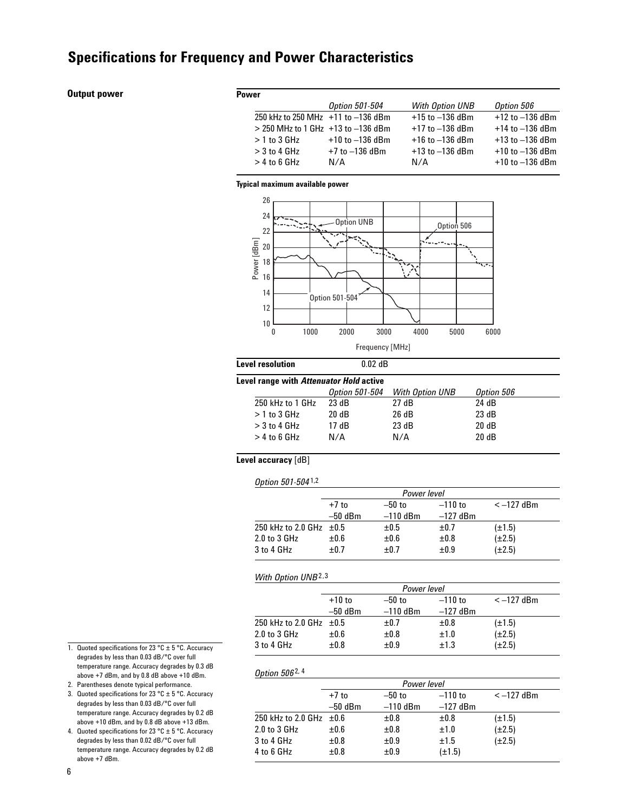#### **Output power**

| <b>Power</b>                             |                       |                     |                     |
|------------------------------------------|-----------------------|---------------------|---------------------|
|                                          | <b>Option 501-504</b> | With Option UNB     | Option 506          |
| 250 kHz to 250 MHz +11 to -136 dBm       |                       | $+15$ to $-136$ dBm | $+12$ to $-136$ dBm |
| $> 250$ MHz to 1 GHz $+13$ to $-136$ dBm |                       | $+17$ to $-136$ dBm | $+14$ to $-136$ dBm |
| $>1$ to 3 GHz                            | $+10$ to $-136$ dBm   | $+16$ to $-136$ dBm | $+13$ to $-136$ dBm |
| $>$ 3 to 4 GHz                           | $+7$ to $-136$ dBm    | $+13$ to $-136$ dBm | $+10$ to $-136$ dBm |
| $>$ 4 to 6 GHz                           | N/A                   | N/A                 | $+10$ to $-136$ dBm |

#### **Typical maximum available power**



#### **Level resolution** 0.02 dB **Level range with** *Attenuator Hold* **active**

| vei range with <i>Attenuator Hold</i> active |                       |                 |            |  |  |
|----------------------------------------------|-----------------------|-----------------|------------|--|--|
|                                              | <b>Option 501-504</b> | With Option UNB | Option 506 |  |  |
| 250 kHz to 1 GHz                             | 23 dB                 | 27 dB           | 24 dB      |  |  |
| $>1$ to 3 GHz                                | 20 dB                 | 26 dB           | 23 dB      |  |  |
| $>$ 3 to 4 GHz                               | 17 dB                 | 23 dB           | 20dB       |  |  |
| $>$ 4 to 6 GHz                               | N/A                   | N/A             | 20dB       |  |  |
|                                              |                       |                 |            |  |  |

#### **Level accuracy** [dB]

|  | Option 501-5041,2 |
|--|-------------------|
|--|-------------------|

|                              | Power level |            |            |             |
|------------------------------|-------------|------------|------------|-------------|
|                              | $+7$ to     | $-50$ to   | $-110$ to  | $<-127$ dBm |
|                              | $-50$ dBm   | $-110$ dBm | $-127$ dBm |             |
| 250 kHz to 2.0 GHz $\pm 0.5$ |             | $\pm 0.5$  | ±0.7       | $(\pm 1.5)$ |
| $2.0$ to $3$ GHz             | $\pm 0.6$   | $\pm 0.6$  | ±0.8       | $(\pm 2.5)$ |
| 3 to 4 GHz                   | ±0.7        | $+0.7$     | ±0.9       | $(\pm 2.5)$ |

#### *With Option UNB*2,3

*Option 506* 2, 4

|                              | Power level |            |            |             |
|------------------------------|-------------|------------|------------|-------------|
|                              | $+10$ to    | $-50$ to   | $-110$ to  | $<-127$ dBm |
|                              | $-50$ dBm   | $-110$ dBm | $-127$ dBm |             |
| 250 kHz to 2.0 GHz $\pm 0.5$ |             | ±0.7       | ±0.8       | $(\pm 1.5)$ |
| $2.0$ to $3$ GHz             | ±0.6        | ±0.8       | ±1.0       | $(\pm 2.5)$ |
| 3 to 4 GHz                   | ±0.8        | ±0.9       | ±1.3       | $(\pm 2.5)$ |

#### degrades by less than 0.03 dB/°C over full temperature range. Accuracy degrades by 0.3 dB above +7 dBm, and by 0.8 dB above +10 dBm. 2. Parentheses denote typical performance.

3. Quoted specifications for 23 °C  $\pm$  5 °C. Accuracy degrades by less than 0.03 dB/°C over full

1. Quoted specifications for 23 °C  $\pm$  5 °C. Accuracy

temperature range. Accuracy degrades by 0.2 dB above +10 dBm, and by 0.8 dB above +13 dBm. 4. Quoted specifications for 23 °C  $\pm$  5 °C. Accuracy

degrades by less than 0.02 dB/°C over full temperature range. Accuracy degrades by 0.2 dB above +7 dBm.

|                         | Power level |            |             |             |
|-------------------------|-------------|------------|-------------|-------------|
|                         | $+7$ to     | $-50$ to   | $-110$ to   | $<-127$ dBm |
|                         | $-50$ dBm   | $-110$ dBm | $-127$ dBm  |             |
| 250 kHz to 2.0 GHz ±0.6 |             | ±0.8       | ±0.8        | $(\pm 1.5)$ |
| 2.0 to 3 GHz            | ±0.6        | ±0.8       | ±1.0        | $(\pm 2.5)$ |
| 3 to 4 GHz              | ±0.8        | ±0.9       | ±1.5        | $(\pm 2.5)$ |
| 4 to 6 GHz              | ±0.8        | ±0.9       | $(\pm 1.5)$ |             |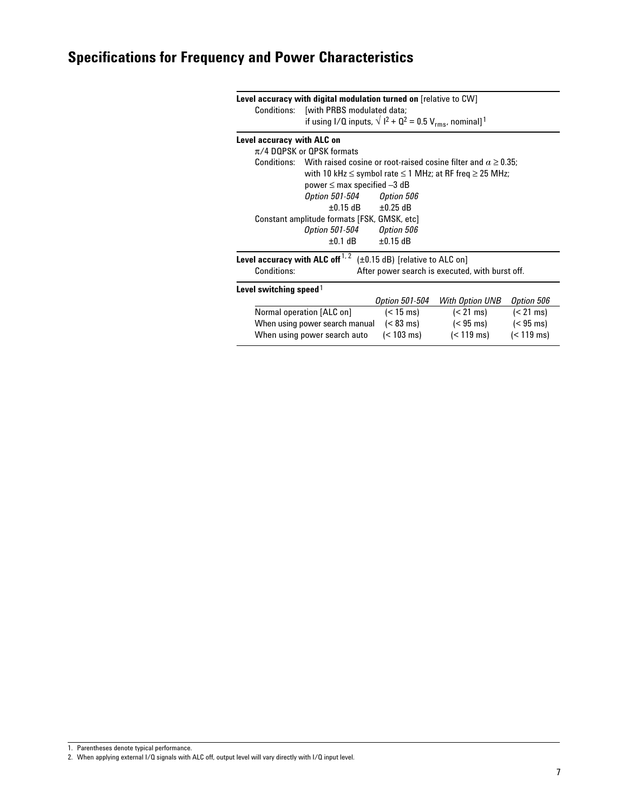|                                                                    | Level accuracy with digital modulation turned on [relative to CW]                    |                     |                                                                        |                     |
|--------------------------------------------------------------------|--------------------------------------------------------------------------------------|---------------------|------------------------------------------------------------------------|---------------------|
|                                                                    | Conditions: [with PRBS modulated data;                                               |                     |                                                                        |                     |
|                                                                    | if using I/Q inputs, $\sqrt{1^2 + 0^2} = 0.5 V_{rms}$ , nominal] <sup>1</sup>        |                     |                                                                        |                     |
| Level accuracy with ALC on                                         |                                                                                      |                     |                                                                        |                     |
|                                                                    | $\pi$ /4 DQPSK or QPSK formats                                                       |                     |                                                                        |                     |
|                                                                    | Conditions: With raised cosine or root-raised cosine filter and $\alpha \geq 0.35$ : |                     |                                                                        |                     |
|                                                                    |                                                                                      |                     | with 10 kHz $\leq$ symbol rate $\leq$ 1 MHz; at RF freq $\geq$ 25 MHz; |                     |
|                                                                    | power $\leq$ max specified $-3$ dB                                                   |                     |                                                                        |                     |
|                                                                    | Option 501-504    Qption 506                                                         |                     |                                                                        |                     |
|                                                                    | $\pm 0.15$ dB                                                                        | $\pm 0.25$ dB       |                                                                        |                     |
|                                                                    | Constant amplitude formats [FSK, GMSK, etc]                                          |                     |                                                                        |                     |
|                                                                    | Option 501-504    Qption 506                                                         |                     |                                                                        |                     |
|                                                                    | $\pm 0.1$ dB<br>$\pm 0.15$ dB                                                        |                     |                                                                        |                     |
|                                                                    | Level accuracy with ALC off $1, 2$<br>$(\pm 0.15$ dB) [relative to ALC on]           |                     |                                                                        |                     |
| Conditions:                                                        | After power search is executed, with burst off.                                      |                     |                                                                        |                     |
| Level switching speed $\frac{1}{2}$                                |                                                                                      |                     |                                                                        |                     |
|                                                                    |                                                                                      | Option 501-504      | With Option UNB                                                        | Option 506          |
|                                                                    | Normal operation [ALC on]                                                            | $(< 15 \text{ ms})$ | $(< 21 \text{ ms})$                                                    | $(< 21 \text{ ms})$ |
|                                                                    | When using power search manual                                                       | $(< 83 \text{ ms})$ | $(< 95 \text{ ms})$                                                    | $(< 95 \text{ ms})$ |
| $(< 119 \text{ ms})$<br>(< 103 ms)<br>When using power search auto |                                                                                      |                     | $(< 119 \text{ ms})$                                                   |                     |

1. Parentheses denote typical performance.

<sup>2.</sup> When applying external I/Q signals with ALC off, output level will vary directly with I/Q input level.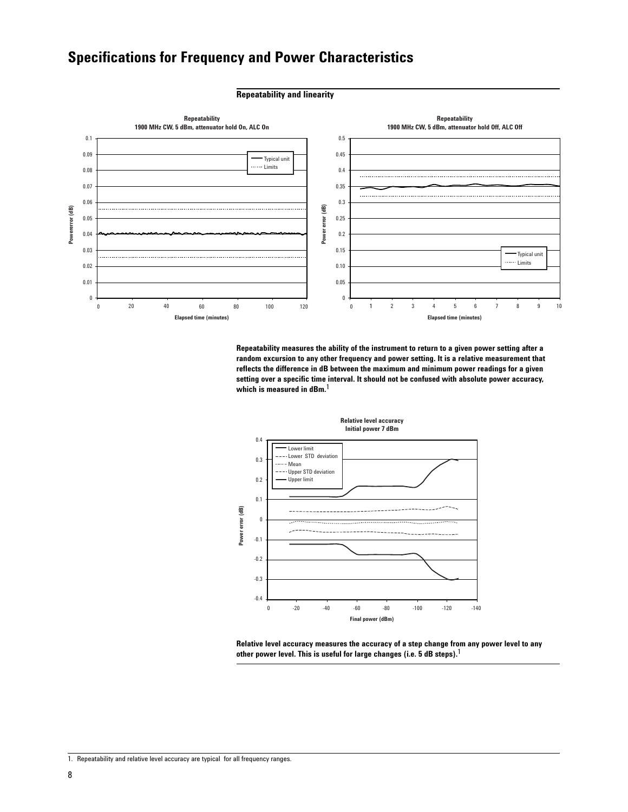#### **Repeatability and linearity**



**Repeatability measures the ability of the instrument to return to a given power setting after a random excursion to any other frequency and power setting. It is a relative measurement that reflects the difference in dB between the maximum and minimum power readings for a given setting over a specific time interval. It should not be confused with absolute power accuracy, which is measured in dBm.**1



**Relative level accuracy measures the accuracy of a step change from any power level to any other power level. This is useful for large changes (i.e. 5 dB steps).**1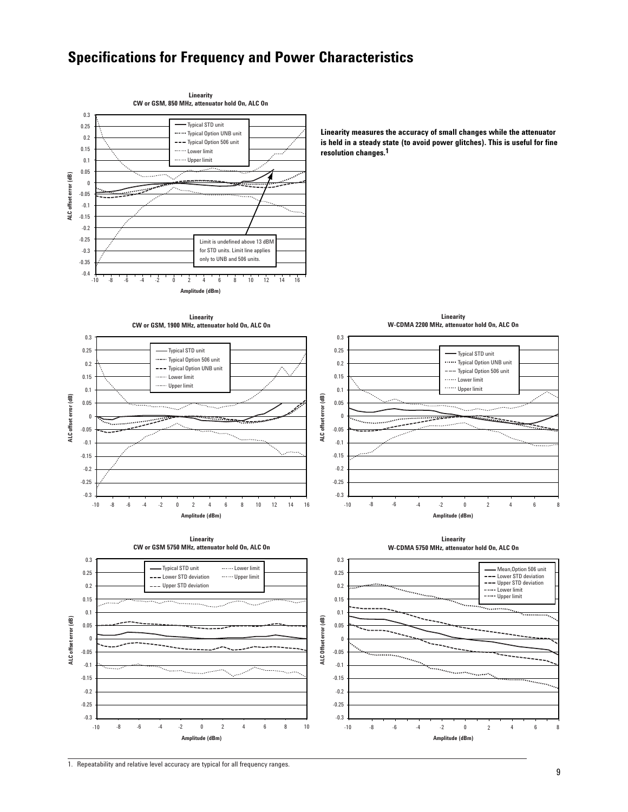

1. Repeatability and relative level accuracy are typical for all frequency ranges.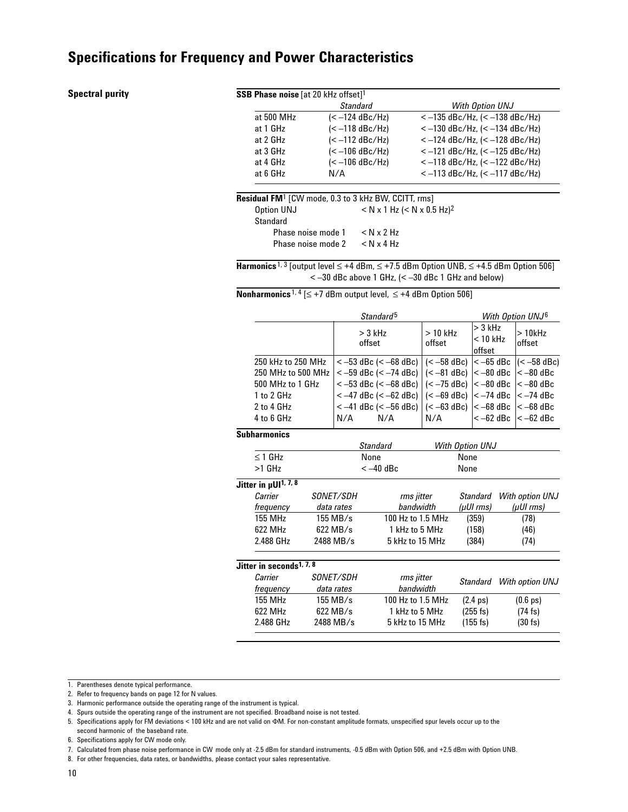#### **Spectral purity**

| <b>SSB Phase noise</b> [at 20 kHz offset] <sup>1</sup> |                                                                        |                                             |
|--------------------------------------------------------|------------------------------------------------------------------------|---------------------------------------------|
|                                                        | <b>Standard</b>                                                        | With Option UNJ                             |
| at 500 MHz                                             | $(< -124$ dBc/Hz)                                                      | $<-135$ dBc/Hz, (< $-138$ dBc/Hz)           |
| at 1 GHz                                               | $(< -118$ dBc/Hz)                                                      | $<-130$ dBc/Hz, (< $-134$ dBc/Hz)           |
| at 2 GHz                                               | $(< -112$ dBc/Hz)                                                      | $<-124$ dBc/Hz, (< $-128$ dBc/Hz)           |
| at 3 GHz                                               | $(< -106$ dBc/Hz)                                                      | $<-121$ dBc/Hz, (< $-125$ dBc/Hz)           |
| at 4 GHz                                               | $(< -106$ dBc/Hz)                                                      | $<-118$ dBc/Hz, $(< -122$ dBc/Hz)           |
| at 6 GHz                                               | N/A                                                                    | $<-113$ dBc/Hz, (< $-117$ dBc/Hz)           |
|                                                        | <b>Residual FM</b> <sup>1</sup> [CW mode, 0.3 to 3 kHz BW, CCITT, rms] |                                             |
| Option UNJ                                             |                                                                        | $<$ N x 1 Hz ( $<$ N x 0.5 Hz) <sup>2</sup> |
| Standard                                               |                                                                        |                                             |
| Phase noise mode 1                                     | $<$ N $\times$ 2 Hz                                                    |                                             |
| Phase noise mode 2                                     | $<$ N $\times$ 4 Hz                                                    |                                             |
|                                                        |                                                                        |                                             |

**Harmonics** 1, 3 [output level ≤ +4 dBm, ≤ +7.5 dBm Option UNB, ≤ +4.5 dBm Option 506]  $<-30$  dBc above 1 GHz,  $(< -30$  dBc 1 GHz and below)

**Nonharmonics** 1, 4 [≤ +7 dBm output level, ≤ +4 dBm Option 506]

|                    | Standard <sup>5</sup>                                                                                                                                                   |                     |                                   | With Option UNJ <sup>6</sup> |
|--------------------|-------------------------------------------------------------------------------------------------------------------------------------------------------------------------|---------------------|-----------------------------------|------------------------------|
|                    | $>$ 3 kHz<br>offset                                                                                                                                                     | $>10$ kHz<br>offset | $> 3$ kHz<br> < 10 kHz<br>loffset | > 10kHz<br>offset            |
| 250 kHz to 250 MHz | $\epsilon$ -53 dBc ( $\epsilon$ -68 dBc)   ( $\epsilon$ -58 dBc)   $\epsilon$ -65 dBc  ( $\epsilon$ -58 dBc)                                                            |                     |                                   |                              |
| 250 MHz to 500 MHz | $\langle -59 \text{ dBc}$ ( $\langle -74 \text{ dBc} \rangle$ ) ( $\langle -81 \text{ dBc} \rangle$ $\langle -80 \text{ dBc} \rangle$ $\langle -80 \text{ dBc} \rangle$ |                     |                                   |                              |
| 500 MHz to 1 GHz   | $\langle -53 \text{ dBc } (-68 \text{ dBc}) \rangle$ $\langle -75 \text{ dBc } \rangle$ $\langle -80 \text{ dBc } \rangle$ $\langle -80 \text{ dBc } \rangle$           |                     |                                   |                              |
| 1 to 2 GHz         | $<-47$ dBc (< -62 dBc)   (< -69 dBc)  < -74 dBc  < -74 dBc                                                                                                              |                     |                                   |                              |
| 2 to 4 GHz         | $\langle -41 \text{ dBc } (-56 \text{ dBc}) \rangle$ $\langle -63 \text{ dBc} \rangle$ $\langle -68 \text{ dBc } \rangle$ $\langle -68 \text{ dBc} \rangle$             |                     |                                   |                              |
| 4 to 6 GHz         | N/A<br>N/A                                                                                                                                                              | N/A                 | $ < -62$ dBc $ < -62$ dBc         |                              |

#### **Subharmonics**

|                                      |                         | <b>Standard</b>         | With Option UNJ    |                           |
|--------------------------------------|-------------------------|-------------------------|--------------------|---------------------------|
| $\leq$ 1 GHz                         |                         | None                    | None               |                           |
| $>1$ GHz                             |                         | $<-40$ dBc              | None               |                           |
| Jitter in µUI <sup>1, 7, 8</sup>     |                         |                         |                    |                           |
| Carrier                              | <i>SONET/SDH</i>        | rms jitter              | Standard           | With option UNJ           |
| frequency                            | data rates              | bandwidth               | (µUI rms)          | $(\mu$ UI $\mathsf{rms})$ |
| 155 MHz                              | $155$ MB/s              | 100 Hz to 1.5 MHz       | (359)              | (78)                      |
| 622 MHz                              | $622$ MB/s              | 1 kHz to 5 MHz          | (158)              | (46)                      |
| 2.488 GHz                            | 2488 MB/s               | 5 kHz to 15 MHz         | (384)              | (74)                      |
| Jitter in seconds <sup>1, 7, 8</sup> |                         |                         |                    |                           |
| Carrier<br>frequency                 | SONET/SDH<br>data rates | rms jitter<br>bandwidth | <b>Standard</b>    | With option UNJ           |
| 155 MHz                              | 155 MB/s                | 100 Hz to 1.5 MHz       | $(2.4 \text{ ps})$ | $(0.6 \text{ ps})$        |
| 622 MHz                              | $622$ MB/s              | 1 kHz to 5 MHz          | (255 fs)           | (74 fs)                   |
| 2.488 GHz                            | 2488 MB/s               | 5 kHz to 15 MHz         | $(155$ fs)         | (30 fs)                   |

1. Parentheses denote typical performance.

- 3. Harmonic performance outside the operating range of the instrument is typical.
- 4. Spurs outside the operating range of the instrument are not specified. Broadband noise is not tested.
- 5. Specifications apply for FM deviations < 100 kHz and are not valid on ΦM. For non-constant amplitude formats, unspecified spur levels occur up to the

8. For other frequencies, data rates, or bandwidths, please contact your sales representative.

<sup>2.</sup> Refer to frequency bands on page 12 for N values.

second harmonic of the baseband rate. 6. Specifications apply for CW mode only.

<sup>7.</sup> Calculated from phase noise performance in CW mode only at -2.5 dBm for standard instruments, -0.5 dBm with Option 506, and +2.5 dBm with Option UNB.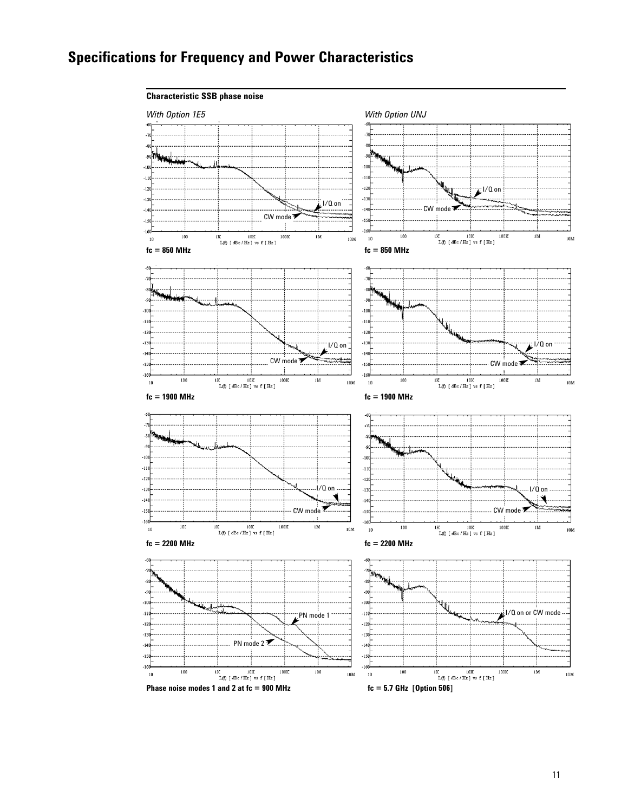

11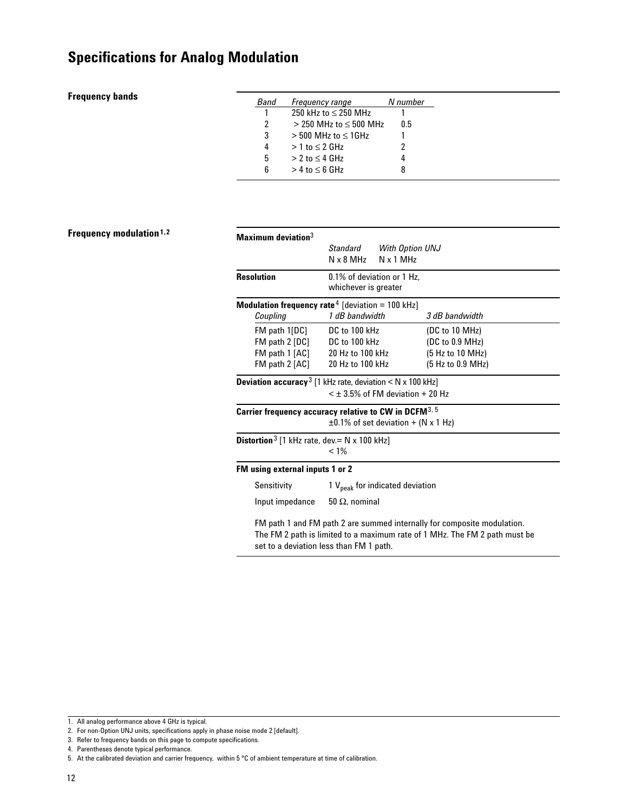#### **Frequency bands**

| <i><b>Band</b></i> | Frequency range                             | N numher |
|--------------------|---------------------------------------------|----------|
|                    | $250 \text{ kHz}$ to $\leq 250 \text{ MHz}$ |          |
| 2                  | $>$ 250 MHz to $<$ 500 MHz                  | 0.5      |
| 3                  | $>$ 500 MHz to $<$ 1GHz                     |          |
| 4                  | $>1$ to $<$ 2 GHz                           | 2        |
| 5                  | $> 2$ to $\leq 4$ GHz                       |          |
| հ                  | $> 4$ to $< 6$ GHz                          | х        |

#### **Frequency modulation1,2**

| Maximum deviation $^3$                                                                                                                                                                           |                                                    |                                             |                   |
|--------------------------------------------------------------------------------------------------------------------------------------------------------------------------------------------------|----------------------------------------------------|---------------------------------------------|-------------------|
|                                                                                                                                                                                                  | Standard<br>$N \times 8$ MHz                       | <b>With Option UNJ</b><br>$N \times 1$ MHz  |                   |
| Resolution                                                                                                                                                                                       | 0.1% of deviation or 1 Hz.<br>whichever is greater |                                             |                   |
| <b>Modulation frequency rate</b> $4$ [deviation = 100 kHz]                                                                                                                                       |                                                    |                                             |                   |
| Coupling                                                                                                                                                                                         | 1 dB bandwidth                                     |                                             | 3 dB bandwidth    |
| FM path 1[DC]                                                                                                                                                                                    | DC to 100 kHz                                      |                                             | (DC to 10 MHz)    |
| FM path 2 [DC] DC to 100 kHz                                                                                                                                                                     |                                                    |                                             | (DC to 0.9 MHz)   |
| FM path 1 [AC] 20 Hz to 100 kHz                                                                                                                                                                  |                                                    |                                             | (5 Hz to 10 MHz)  |
| FM path 2 [AC]                                                                                                                                                                                   | 20 Hz to 100 kHz                                   |                                             | (5 Hz to 0.9 MHz) |
| <b>Deviation accuracy</b> <sup>3</sup> [1 kHz rate, deviation $\lt N \times 100$ kHz]                                                                                                            |                                                    |                                             |                   |
|                                                                                                                                                                                                  |                                                    | $\leq$ $\pm$ 3.5% of FM deviation + 20 Hz   |                   |
| Carrier frequency accuracy relative to CW in DCFM $^{\rm 3.5}$                                                                                                                                   |                                                    |                                             |                   |
| $\pm 0.1\%$ of set deviation + (N x 1 Hz)                                                                                                                                                        |                                                    |                                             |                   |
| <b>Distortion</b> <sup>3</sup> [1 kHz rate, dev. = $N \times 100$ kHz]                                                                                                                           | $< 1\%$                                            |                                             |                   |
| FM using external inputs 1 or 2                                                                                                                                                                  |                                                    |                                             |                   |
| Sensitivity                                                                                                                                                                                      |                                                    | 1 V <sub>peak</sub> for indicated deviation |                   |
| Input impedance                                                                                                                                                                                  | 50 $\Omega$ , nominal                              |                                             |                   |
| FM path 1 and FM path 2 are summed internally for composite modulation.<br>The FM 2 path is limited to a maximum rate of 1 MHz. The FM 2 path must be<br>set to a deviation less than FM 1 path. |                                                    |                                             |                   |

<sup>1.</sup> All analog performance above 4 GHz is typical.

<sup>2.</sup> For non-Option UNJ units, specifications apply in phase noise mode 2 [default].

<sup>3.</sup> Refer to frequency bands on this page to compute specifications.

<sup>4.</sup> Parentheses denote typical performance.

<sup>5.</sup> At the calibrated deviation and carrier frequency, within 5 °C of ambient temperature at time of calibration.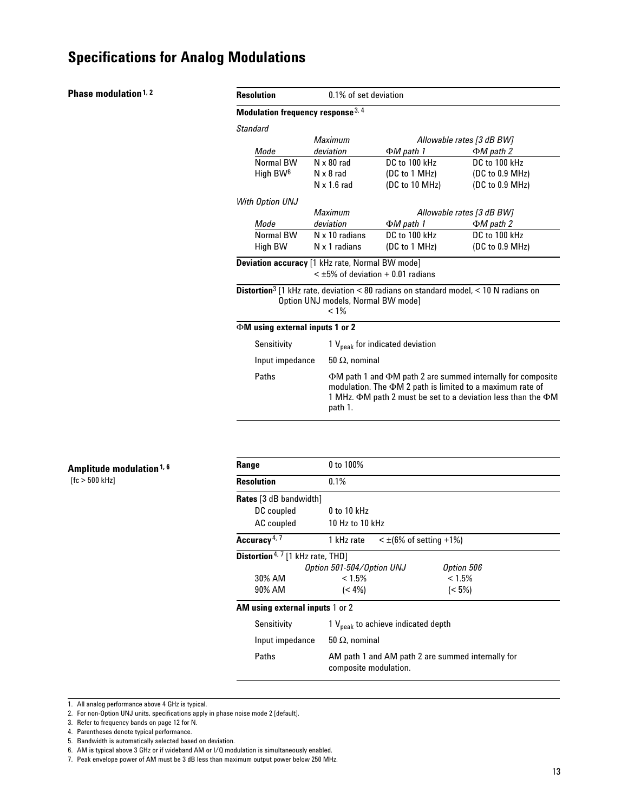#### **Phase modulation**<sup>1,2</sup>

| <b>Resolution</b>                                      | 0.1% of set deviation                         |                                                                                                                                                                                                                        |                                                                                                         |
|--------------------------------------------------------|-----------------------------------------------|------------------------------------------------------------------------------------------------------------------------------------------------------------------------------------------------------------------------|---------------------------------------------------------------------------------------------------------|
| Modulation frequency response 3, 4                     |                                               |                                                                                                                                                                                                                        |                                                                                                         |
| Standard                                               |                                               |                                                                                                                                                                                                                        |                                                                                                         |
|                                                        | <b>Maximum</b>                                |                                                                                                                                                                                                                        | Allowable rates [3 dB BW]                                                                               |
| Mode                                                   | deviation                                     | ΦM path 1                                                                                                                                                                                                              | $\Phi M$ path 2                                                                                         |
| Normal RW                                              | $N \times 80$ rad                             | DC to 100 kHz                                                                                                                                                                                                          | DC to 100 kHz                                                                                           |
| High BW <sup>6</sup>                                   | $N \times 8$ rad                              | (DC to 1 MHz)                                                                                                                                                                                                          | (DC to 0.9 MHz)                                                                                         |
|                                                        | $N \times 1.6$ rad                            | (DC to 10 MHz)                                                                                                                                                                                                         | (DC to 0.9 MHz)                                                                                         |
| With Option UNJ                                        |                                               |                                                                                                                                                                                                                        |                                                                                                         |
|                                                        | <b>Maximum</b>                                |                                                                                                                                                                                                                        | Allowable rates [3 dB BW]                                                                               |
| Mode                                                   | deviation                                     | $\Phi M$ path 1                                                                                                                                                                                                        | $\Phi M$ path 2                                                                                         |
| Normal BW                                              | N x 10 radians                                | DC to 100 kHz                                                                                                                                                                                                          | DC to 100 kHz                                                                                           |
| High BW                                                | N x 1 radians                                 | (DC to 1 MHz)                                                                                                                                                                                                          | (DC to 0.9 MHz)                                                                                         |
| <b>Deviation accuracy</b> [1 kHz rate, Normal BW mode] | $<$ +5% of deviation + 0.01 radians           |                                                                                                                                                                                                                        |                                                                                                         |
|                                                        | Option UNJ models, Normal BW mode]<br>$< 1\%$ |                                                                                                                                                                                                                        | <b>Distortion</b> <sup>3</sup> [1 kHz rate, deviation < 80 radians on standard model, < 10 N radians on |
| $\Phi$ M using external inputs 1 or 2                  |                                               |                                                                                                                                                                                                                        |                                                                                                         |
| Sensitivity                                            |                                               | 1 V <sub>neak</sub> for indicated deviation                                                                                                                                                                            |                                                                                                         |
| Input impedance                                        | 50 $\Omega$ , nominal                         |                                                                                                                                                                                                                        |                                                                                                         |
| Paths                                                  | path 1.                                       | $\Phi$ M path 1 and $\Phi$ M path 2 are summed internally for composite<br>modulation. The $\Phi M$ 2 path is limited to a maximum rate of<br>1 MHz. $\Phi$ M path 2 must be set to a deviation less than the $\Phi$ M |                                                                                                         |

| Range                                               | 0 to 100%                                               |                                                   |  |
|-----------------------------------------------------|---------------------------------------------------------|---------------------------------------------------|--|
| <b>Resolution</b>                                   | 0.1%                                                    |                                                   |  |
| <b>Rates</b> [3 dB bandwidth]                       |                                                         |                                                   |  |
| DC coupled                                          | $0$ to 10 kHz                                           |                                                   |  |
| AC coupled                                          | 10 Hz to 10 kHz                                         |                                                   |  |
| Accuracy <sup>4, 7</sup>                            | $\leq \pm (6\% \text{ of setting } +1\%)$<br>1 kHz rate |                                                   |  |
| <b>Distortion</b> <sup>4, 7</sup> [1 kHz rate, THD] |                                                         |                                                   |  |
|                                                     | Option 501-504/Option UNJ                               | Option 506                                        |  |
| 30% AM                                              | $< 1.5\%$                                               | < 1.5%                                            |  |
| 90% AM                                              | $(< 4\%)$                                               | $(< 5\%)$                                         |  |
| <b>AM using external inputs 1 or 2</b>              |                                                         |                                                   |  |
| Sensitivity                                         | 1 $V_{peak}$ to achieve indicated depth                 |                                                   |  |
| Input impedance                                     | $50 \Omega$ , nominal                                   |                                                   |  |
| Paths                                               | composite modulation.                                   | AM path 1 and AM path 2 are summed internally for |  |

<sup>1.</sup> All analog performance above 4 GHz is typical.

**Amplitude modulation1, 6**

[fc > 500 kHz]

<sup>2.</sup> For non-Option UNJ units, specifications apply in phase noise mode 2 [default].

<sup>3.</sup> Refer to frequency bands on page 12 for N.

<sup>4.</sup> Parentheses denote typical performance.

<sup>5.</sup> Bandwidth is automatically selected based on deviation.

<sup>6.</sup> AM is typical above 3 GHz or if wideband AM or I/Q modulation is simultaneously enabled.

<sup>7.</sup> Peak envelope power of AM must be 3 dB less than maximum output power below 250 MHz.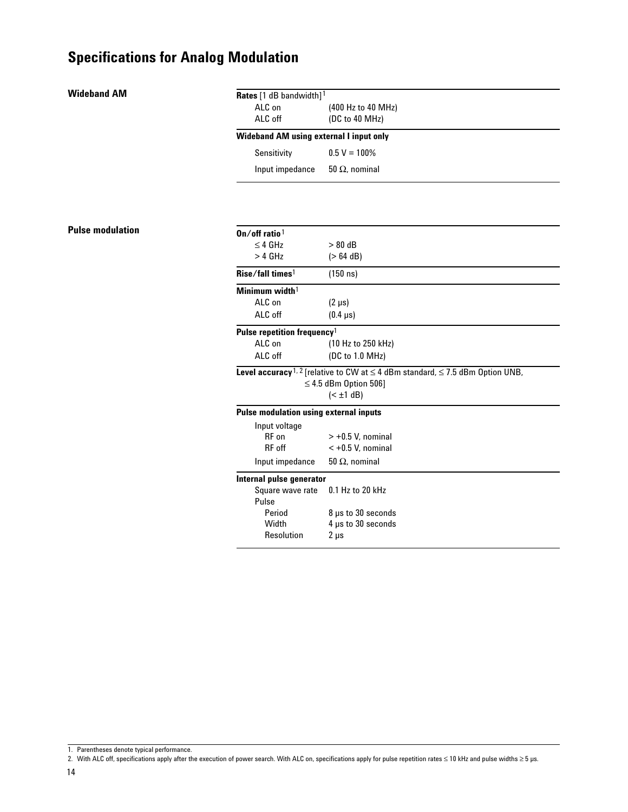#### **Wideband AM**

**Pulse modulation**

| Rates [1 dB bandwidth] <sup>1</sup>            |                                                                                                                                                   |
|------------------------------------------------|---------------------------------------------------------------------------------------------------------------------------------------------------|
| $AI C$ on                                      | (400 Hz to 40 MHz)                                                                                                                                |
| ALC off                                        | (DC to 40 MHz)                                                                                                                                    |
| <b>Wideband AM using external I input only</b> |                                                                                                                                                   |
| Sensitivity                                    | $0.5 V = 100\%$                                                                                                                                   |
| Input impedance                                | 50 $\Omega$ , nominal                                                                                                                             |
|                                                |                                                                                                                                                   |
| $On/off$ ratio <sup>1</sup>                    |                                                                                                                                                   |
| $\leq$ 4 GHz                                   | $> 80$ dB                                                                                                                                         |
| $>$ 4 GHz                                      | (> 64 dB)                                                                                                                                         |
| Rise/fall times <sup>1</sup>                   | (150 n s)                                                                                                                                         |
| Minimum width <sup>1</sup>                     |                                                                                                                                                   |
| ALC on                                         | $(2 \mu s)$                                                                                                                                       |
| ALC off                                        | $(0.4 \,\mu s)$                                                                                                                                   |
| Pulse repetition frequency <sup>1</sup>        |                                                                                                                                                   |
| ALC on                                         | (10 Hz to 250 kHz)                                                                                                                                |
| ALC off                                        | (DC to 1.0 MHz)                                                                                                                                   |
|                                                | Level accuracy <sup>1, 2</sup> [relative to CW at $\leq$ 4 dBm standard, $\leq$ 7.5 dBm Option UNB,<br>$\leq$ 4.5 dBm Option 506]<br>$(\pm 1 dB)$ |
| <b>Pulse modulation using external inputs</b>  |                                                                                                                                                   |
| Input voltage                                  |                                                                                                                                                   |
| RF on                                          | $> +0.5$ V. nominal                                                                                                                               |
| RF off                                         | $< +0.5$ V. nominal                                                                                                                               |
| Input impedance                                | 50 $\Omega$ , nominal                                                                                                                             |
|                                                |                                                                                                                                                   |

#### **Internal pulse generator**

| Square wave rate | 0.1 Hz to 20 kHz   |
|------------------|--------------------|
| Pulse            |                    |
| Period           | 8 µs to 30 seconds |
| Width            | 4 µs to 30 seconds |
| Resolution       | $2 \mu s$          |
|                  |                    |

<sup>1.</sup> Parentheses denote typical performance.

<sup>2.</sup> With ALC off, specifications apply after the execution of power search. With ALC on, specifications apply for pulse repetition rates  $\leq 10$  kHz and pulse widths  $\geq 5$  µs.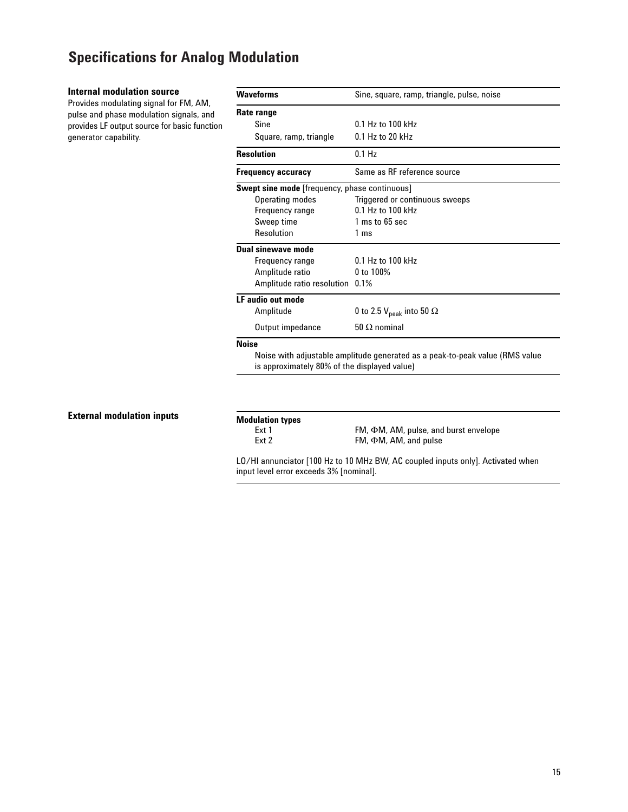#### **Internal modulation source**

Provides modulating signal for FM, AM, pulse and phase modulation signals, and provides LF output source for basic function generator capability.

| <b>Waveforms</b>                                     | Sine, square, ramp, triangle, pulse, noise                                   |  |
|------------------------------------------------------|------------------------------------------------------------------------------|--|
| Rate range                                           |                                                                              |  |
| Sine                                                 | $0.1$ Hz to $100$ kHz                                                        |  |
| Square, ramp, triangle                               | $0.1$ Hz to 20 kHz                                                           |  |
| <b>Resolution</b>                                    | $0.1$ Hz                                                                     |  |
| <b>Frequency accuracy</b>                            | Same as RF reference source                                                  |  |
| <b>Swept sine mode</b> [frequency, phase continuous] |                                                                              |  |
| <b>Operating modes</b>                               | Triggered or continuous sweeps                                               |  |
| Frequency range                                      | 0.1 Hz to 100 kHz                                                            |  |
| Sweep time                                           | 1 ms to 65 sec                                                               |  |
| Resolution                                           | 1 ms                                                                         |  |
| Dual sinewave mode                                   |                                                                              |  |
| Frequency range                                      | $0.1 Hz$ to $100 Hz$                                                         |  |
| Amplitude ratio                                      | 0 to 100%                                                                    |  |
| Amplitude ratio resolution 0.1%                      |                                                                              |  |
| LF audio out mode                                    |                                                                              |  |
| Amplitude                                            | 0 to 2.5 $\rm V_{peak}$ into 50 $\Omega$                                     |  |
| Output impedance                                     | $50 \Omega$ nominal                                                          |  |
| <b>Noise</b>                                         |                                                                              |  |
| is approximately 80% of the displayed value)         | Noise with adjustable amplitude generated as a peak-to-peak value (RMS value |  |

#### **External modulation inputs**

**Modulation types**

Ext 1 FM, ΦM, AM, pulse, and burst envelope<br>Ext 2 FM, ΦM, AM, and pulse FM,  $\Phi$ M, AM, and pulse

LO/HI annunciator [100 Hz to 10 MHz BW, AC coupled inputs only]. Activated when input level error exceeds 3% [nominal].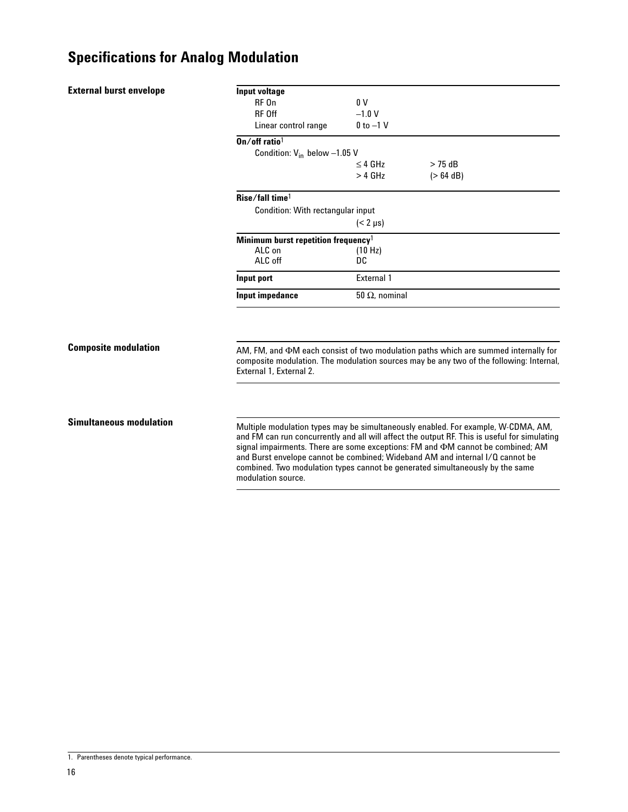|  |  | <b>External burst envelope</b> |  |
|--|--|--------------------------------|--|
|--|--|--------------------------------|--|

| Input voltage                                   |                       |             |  |
|-------------------------------------------------|-----------------------|-------------|--|
| RF On                                           | 0 V                   |             |  |
| <b>RF Off</b>                                   | $-1.0 V$              |             |  |
| Linear control range                            | $0$ to $-1$ V         |             |  |
| $On/off$ ratio <sup>1</sup>                     |                       |             |  |
| Condition: $V_{in}$ below $-1.05$ V             |                       |             |  |
|                                                 | $<$ 4 GHz             | $>$ 75 dB   |  |
|                                                 | $>$ 4 GHz             | $(> 64$ dB) |  |
| Rise/fall time <sup>1</sup>                     |                       |             |  |
| Condition: With rectangular input               |                       |             |  |
|                                                 | $(< 2 \mu s)$         |             |  |
| Minimum burst repetition frequency <sup>1</sup> |                       |             |  |
| ALC on                                          | (10 Hz)               |             |  |
| ALC off                                         | DC                    |             |  |
| Input port                                      | <b>External 1</b>     |             |  |
| Input impedance                                 | $50 \Omega$ , nominal |             |  |
|                                                 |                       |             |  |

#### **Composite modulation**

AM, FM, and  $\Phi$ M each consist of two modulation paths which are summed internally for composite modulation. The modulation sources may be any two of the following: Internal, External 1, External 2.

#### **Simultaneous modulation**

Multiple modulation types may be simultaneously enabled. For example, W-CDMA, AM, and FM can run concurrently and all will affect the output RF. This is useful for simulating signal impairments. There are some exceptions: FM and  $\Phi$ M cannot be combined; AM and Burst envelope cannot be combined; Wideband AM and internal I/Q cannot be combined. Two modulation types cannot be generated simultaneously by the same modulation source.

<sup>1.</sup> Parentheses denote typical performance.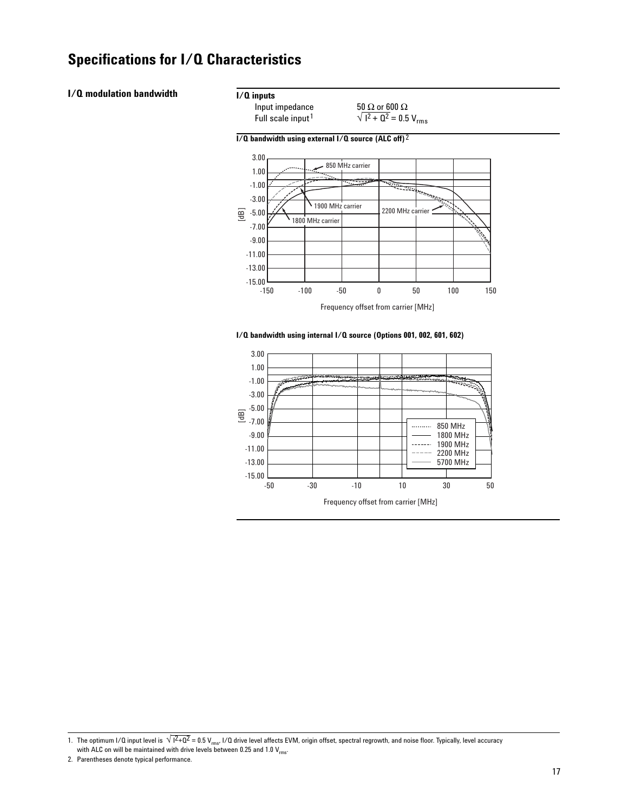#### **I/Q modulation bandwidth**

#### **I/Q inputs**

Input impedance 50 Ω or 600 Ω<br>Full scale input<sup>1</sup>  $\sqrt{1^2 + Q^2} = 0.5$  $\sqrt{1^2 + 0^2} = 0.5 V_{rms}$ 





**I/Q bandwidth using internal I/Q source (Options 001, 002, 601, 602)** 



<sup>1.</sup> The optimum I/Q input level is  $\sqrt{1^2+Q^2}=0.5$  V<sub>rms</sub>, I/Q drive level affects EVM, origin offset, spectral regrowth, and noise floor. Typically, level accuracy with ALC on will be maintained with drive levels between 0.25 and 1.0  $V_{rms}$ .

<sup>2.</sup> Parentheses denote typical performance.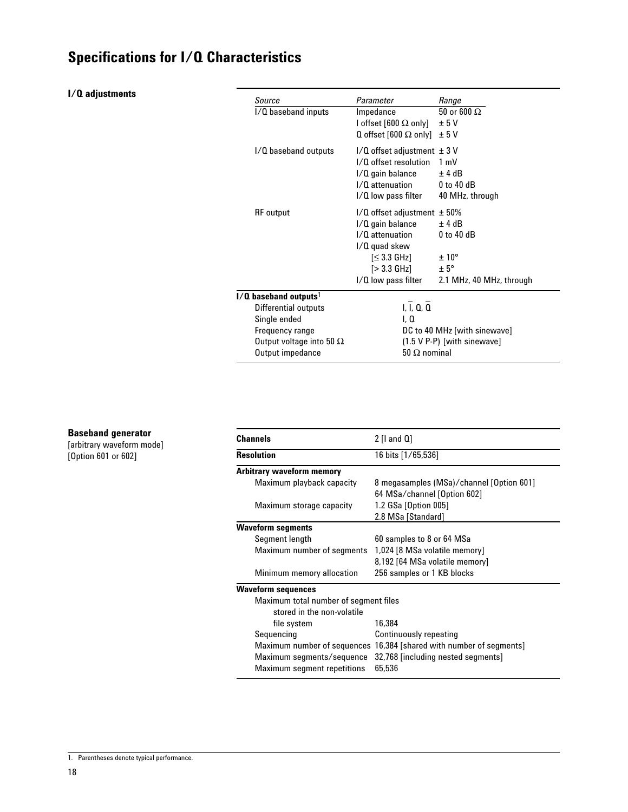#### **I/Q adjustments**

| Source<br>I/Q baseband inputs                                                                                  | Parameter<br>Impedance<br>l offset [600 $\Omega$ only]<br>Q offset [600 $\Omega$ only] $\pm$ 5 V                                                           | Range<br>50 or 600 $\Omega$<br>± 5V                                                  |
|----------------------------------------------------------------------------------------------------------------|------------------------------------------------------------------------------------------------------------------------------------------------------------|--------------------------------------------------------------------------------------|
| I/Q baseband outputs                                                                                           | $1/Q$ offset adjustment $\pm 3 V$<br>I/O offset resolution<br>I/Q gain balance<br>I/O attenuation<br>I/Q low pass filter                                   | $1 \text{ mV}$<br>$±$ 4 dB<br>$0$ to 40 dB<br>40 MHz, through                        |
| <b>RF</b> output                                                                                               | $1/Q$ offset adjustment $\pm 50\%$<br>I/Q gain balance<br>I/O attenuation<br>$1/Q$ quad skew<br>[≤ 3.3 GHz]<br>$[>3.3 \text{ GHz}]$<br>I/Q low pass filter | ±4dB<br>$0$ to $40$ dB<br>$\pm 10^{\circ}$<br>$+5^\circ$<br>2.1 MHz, 40 MHz, through |
| $I/O$ baseband outputs <sup>1</sup>                                                                            |                                                                                                                                                            |                                                                                      |
| Differential outputs<br>Single ended<br>Frequency range<br>Output voltage into 50 $\Omega$<br>Output impedance | I, I, Q, Q<br>l. 0<br>$50 \Omega$ nominal                                                                                                                  | DC to 40 MHz [with sinewave]<br>$(1.5 V P - P)$ [with sinewave]                      |

#### **Baseband generator**

[arbitrary waveform mode] [Option 601 or 602]

| <b>Channels</b>                       | $2$ [I and $0$ ]                                                        |  |  |  |  |
|---------------------------------------|-------------------------------------------------------------------------|--|--|--|--|
| <b>Resolution</b>                     | 16 bits [1/65,536]                                                      |  |  |  |  |
| Arbitrary waveform memory             |                                                                         |  |  |  |  |
| Maximum playback capacity             | 8 megasamples (MSa)/channel [Option 601]<br>64 MSa/channel [Option 602] |  |  |  |  |
| Maximum storage capacity              | 1.2 GSa [Option 005]<br>2.8 MSa [Standard]                              |  |  |  |  |
| <b>Waveform segments</b>              |                                                                         |  |  |  |  |
| Segment length                        | 60 samples to 8 or 64 MSa                                               |  |  |  |  |
| Maximum number of segments            | 1,024 [8 MSa volatile memory]                                           |  |  |  |  |
|                                       | 8,192 [64 MSa volatile memory]                                          |  |  |  |  |
| Minimum memory allocation             | 256 samples or 1 KB blocks                                              |  |  |  |  |
| <b>Waveform sequences</b>             |                                                                         |  |  |  |  |
| Maximum total number of segment files |                                                                         |  |  |  |  |
| stored in the non-volatile            |                                                                         |  |  |  |  |
| file system                           | 16,384                                                                  |  |  |  |  |
| Sequencing                            | Continuously repeating                                                  |  |  |  |  |
|                                       | Maximum number of sequences 16,384 [shared with number of segments]     |  |  |  |  |
| Maximum segments/sequence             | 32,768 [including nested segments]                                      |  |  |  |  |
| <b>Maximum segment repetitions</b>    | 65.536                                                                  |  |  |  |  |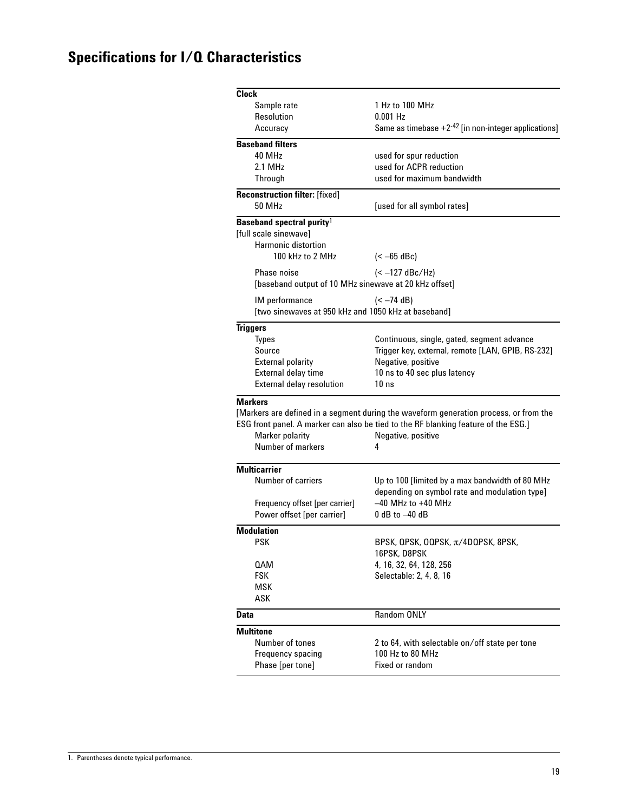| <b>Clock</b>                                                  |                                                                                                                                                                                                        |
|---------------------------------------------------------------|--------------------------------------------------------------------------------------------------------------------------------------------------------------------------------------------------------|
|                                                               | 1 Hz to 100 MHz                                                                                                                                                                                        |
| Sample rate<br>Resolution                                     | $0.001$ Hz                                                                                                                                                                                             |
| Accuracy                                                      | Same as timebase $+2^{-42}$ [in non-integer applications]                                                                                                                                              |
|                                                               |                                                                                                                                                                                                        |
| <b>Baseband filters</b>                                       |                                                                                                                                                                                                        |
| 40 MHz                                                        | used for spur reduction                                                                                                                                                                                |
| 2.1 MHz                                                       | used for ACPR reduction                                                                                                                                                                                |
| Through                                                       | used for maximum bandwidth                                                                                                                                                                             |
| <b>Reconstruction filter:</b> [fixed]<br><b>50 MHz</b>        | [used for all symbol rates]                                                                                                                                                                            |
| Baseband spectral purity <sup>1</sup>                         |                                                                                                                                                                                                        |
| [full scale sinewave]                                         |                                                                                                                                                                                                        |
| <b>Harmonic distortion</b>                                    |                                                                                                                                                                                                        |
| 100 kHz to 2 MHz                                              | $(< -65$ dBc)                                                                                                                                                                                          |
| <b>Phase noise</b>                                            | $(< -127$ dBc/Hz)                                                                                                                                                                                      |
| [baseband output of 10 MHz sinewave at 20 kHz offset]         |                                                                                                                                                                                                        |
|                                                               |                                                                                                                                                                                                        |
| IM performance                                                | $(< -74$ dB)                                                                                                                                                                                           |
| [two sinewaves at 950 kHz and 1050 kHz at baseband]           |                                                                                                                                                                                                        |
| <b>Triggers</b>                                               |                                                                                                                                                                                                        |
| <b>Types</b>                                                  | Continuous, single, gated, segment advance                                                                                                                                                             |
| Source                                                        | Trigger key, external, remote [LAN, GPIB, RS-232]                                                                                                                                                      |
| <b>External polarity</b>                                      | Negative, positive                                                                                                                                                                                     |
| External delay time                                           | 10 ns to 40 sec plus latency                                                                                                                                                                           |
| External delay resolution                                     | 10 <sub>ns</sub>                                                                                                                                                                                       |
| <b>Markers</b><br><b>Marker polarity</b><br>Number of markers | [Markers are defined in a segment during the waveform generation process, or from the<br>ESG front panel. A marker can also be tied to the RF blanking feature of the ESG.]<br>Negative, positive<br>4 |
| <b>Multicarrier</b>                                           |                                                                                                                                                                                                        |
| <b>Number of carriers</b>                                     | Up to 100 [limited by a max bandwidth of 80 MHz                                                                                                                                                        |
|                                                               | depending on symbol rate and modulation type]                                                                                                                                                          |
| Frequency offset [per carrier]                                | $-40$ MHz to $+40$ MHz                                                                                                                                                                                 |
| Power offset [per carrier]                                    | $0$ dB to $-40$ dB                                                                                                                                                                                     |
| <b>Modulation</b>                                             |                                                                                                                                                                                                        |
| PSK                                                           | BPSK, QPSK, OQPSK, π/4DQPSK, 8PSK,                                                                                                                                                                     |
|                                                               | 16PSK, D8PSK                                                                                                                                                                                           |
| 0AM                                                           | 4, 16, 32, 64, 128, 256                                                                                                                                                                                |
| <b>FSK</b>                                                    | Selectable: 2, 4, 8, 16                                                                                                                                                                                |
| MSK                                                           |                                                                                                                                                                                                        |
| ASK                                                           |                                                                                                                                                                                                        |
| <b>Data</b>                                                   | Random ONLY                                                                                                                                                                                            |
| <b>Multitone</b>                                              |                                                                                                                                                                                                        |
| Number of tones                                               | 2 to 64, with selectable on/off state per tone                                                                                                                                                         |
| Frequency spacing                                             | 100 Hz to 80 MHz                                                                                                                                                                                       |
| Phase [per tone]                                              | Fixed or random                                                                                                                                                                                        |
|                                                               |                                                                                                                                                                                                        |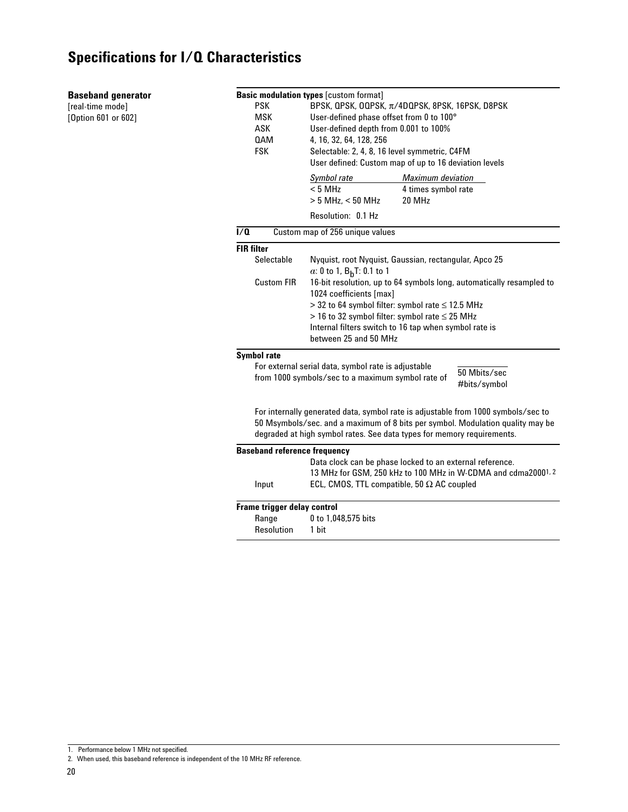#### **Baseband generator**

[real-time mode] [Option 601 or 602]

|                  |                                     | <b>Basic modulation types [custom format]</b>                                     |              |  |  |  |  |  |
|------------------|-------------------------------------|-----------------------------------------------------------------------------------|--------------|--|--|--|--|--|
|                  | <b>PSK</b>                          | BPSK, QPSK, OQPSK, π/4DQPSK, 8PSK, 16PSK, D8PSK                                   |              |  |  |  |  |  |
|                  | MSK                                 | User-defined phase offset from 0 to 100°                                          |              |  |  |  |  |  |
|                  | ASK                                 | User-defined depth from 0.001 to 100%                                             |              |  |  |  |  |  |
|                  | 0AM                                 | 4, 16, 32, 64, 128, 256                                                           |              |  |  |  |  |  |
|                  | <b>FSK</b>                          | Selectable: 2, 4, 8, 16 level symmetric, C4FM                                     |              |  |  |  |  |  |
|                  |                                     | User defined: Custom map of up to 16 deviation levels                             |              |  |  |  |  |  |
|                  |                                     | <b>Maximum deviation</b><br>Symbol rate                                           |              |  |  |  |  |  |
|                  |                                     | < 5 MHz<br>4 times symbol rate                                                    |              |  |  |  |  |  |
|                  |                                     | 20 MHz<br>$> 5$ MHz, $< 50$ MHz                                                   |              |  |  |  |  |  |
|                  |                                     | Resolution: 0.1 Hz                                                                |              |  |  |  |  |  |
| $\overline{1/2}$ |                                     | Custom map of 256 unique values                                                   |              |  |  |  |  |  |
|                  | <b>FIR filter</b>                   |                                                                                   |              |  |  |  |  |  |
|                  | Selectable                          | Nyquist, root Nyquist, Gaussian, rectangular, Apco 25                             |              |  |  |  |  |  |
|                  |                                     | a: 0 to 1, $B_hT$ : 0.1 to 1                                                      |              |  |  |  |  |  |
|                  | Custom FIR                          | 16-bit resolution, up to 64 symbols long, automatically resampled to              |              |  |  |  |  |  |
|                  |                                     | 1024 coefficients [max]                                                           |              |  |  |  |  |  |
|                  |                                     | $>$ 32 to 64 symbol filter: symbol rate $\leq$ 12.5 MHz                           |              |  |  |  |  |  |
|                  |                                     | $>$ 16 to 32 symbol filter: symbol rate $\leq$ 25 MHz                             |              |  |  |  |  |  |
|                  |                                     | Internal filters switch to 16 tap when symbol rate is                             |              |  |  |  |  |  |
|                  |                                     | between 25 and 50 MHz                                                             |              |  |  |  |  |  |
|                  | <b>Symbol rate</b>                  |                                                                                   |              |  |  |  |  |  |
|                  |                                     | For external serial data, symbol rate is adjustable                               | 50 Mbits/sec |  |  |  |  |  |
|                  |                                     | from 1000 symbols/sec to a maximum symbol rate of                                 |              |  |  |  |  |  |
|                  |                                     |                                                                                   | #bits/symbol |  |  |  |  |  |
|                  |                                     |                                                                                   |              |  |  |  |  |  |
|                  |                                     | For internally generated data, symbol rate is adjustable from 1000 symbols/sec to |              |  |  |  |  |  |
|                  |                                     | 50 Msymbols/sec. and a maximum of 8 bits per symbol. Modulation quality may be    |              |  |  |  |  |  |
|                  |                                     | degraded at high symbol rates. See data types for memory requirements.            |              |  |  |  |  |  |
|                  | <b>Baseband reference frequency</b> |                                                                                   |              |  |  |  |  |  |
|                  |                                     | Data clock can be phase locked to an external reference.                          |              |  |  |  |  |  |
|                  |                                     | 13 MHz for GSM, 250 kHz to 100 MHz in W-CDMA and cdma20001, 2                     |              |  |  |  |  |  |
|                  | Input                               | ECL, CMOS, TTL compatible, 50 $\Omega$ AC coupled                                 |              |  |  |  |  |  |
|                  | Frame trigger delay control         |                                                                                   |              |  |  |  |  |  |
|                  | Range                               | 0 to 1,048,575 bits                                                               |              |  |  |  |  |  |
|                  | Resolution                          | 1 bit                                                                             |              |  |  |  |  |  |
|                  |                                     |                                                                                   |              |  |  |  |  |  |

<sup>1.</sup> Performance below 1 MHz not specified.

<sup>2.</sup> When used, this baseband reference is independent of the 10 MHz RF reference.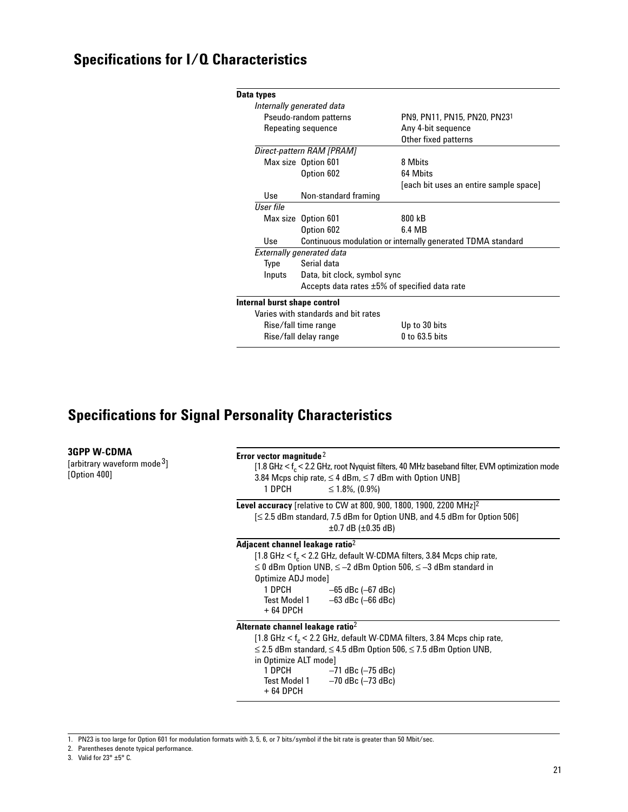| Data types                   |                                                     |                                                             |  |  |
|------------------------------|-----------------------------------------------------|-------------------------------------------------------------|--|--|
|                              | Internally generated data                           |                                                             |  |  |
|                              | Pseudo-random patterns                              | PN9, PN11, PN15, PN20, PN231                                |  |  |
|                              | Repeating sequence                                  | Any 4-bit sequence                                          |  |  |
|                              |                                                     | Other fixed patterns                                        |  |  |
|                              | Direct-pattern RAM [PRAM]                           |                                                             |  |  |
|                              | Max size Option 601                                 | 8 Mhits                                                     |  |  |
|                              | Option 602                                          | 64 Mbits                                                    |  |  |
|                              |                                                     | [each bit uses an entire sample space]                      |  |  |
| Use                          | Non-standard framing                                |                                                             |  |  |
| <b>User file</b>             |                                                     |                                                             |  |  |
|                              | Max size Option 601                                 | 800 kB                                                      |  |  |
|                              | Option 602                                          | 6.4 MB                                                      |  |  |
| Use                          |                                                     | Continuous modulation or internally generated TDMA standard |  |  |
|                              | <b>Externally generated data</b>                    |                                                             |  |  |
| Type                         | Serial data                                         |                                                             |  |  |
| Inputs                       | Data, bit clock, symbol sync                        |                                                             |  |  |
|                              | Accepts data rates $\pm 5\%$ of specified data rate |                                                             |  |  |
| Internal burst shape control |                                                     |                                                             |  |  |
|                              | Varies with standards and bit rates                 |                                                             |  |  |
|                              | Rise/fall time range                                | Up to 30 bits                                               |  |  |
|                              | Rise/fall delay range                               | $0$ to 63.5 bits                                            |  |  |
|                              |                                                     |                                                             |  |  |

# **Specifications for Signal Personality Characteristics**

| <b>3GPP W-CDMA</b><br>[arbitrary waveform mode <sup>3</sup> ]<br>[Option 400] | Error vector magnitude <sup>2</sup><br>[1.8 GHz < f <sub>c</sub> < 2.2 GHz, root Nyquist filters, 40 MHz baseband filter, EVM optimization mode<br>3.84 Mcps chip rate, $\leq$ 4 dBm, $\leq$ 7 dBm with Option UNB]<br>1 DPCH<br>$\leq 1.8\%$ , (0.9%)<br>Level accuracy [relative to CW at 800, 900, 1800, 1900, 2200 MHz $]$ <sup>2</sup><br>$\leq$ 2.5 dBm standard, 7.5 dBm for Option UNB, and 4.5 dBm for Option 506]<br>$\pm 0.7$ dB ( $\pm 0.35$ dB) |  |  |  |  |  |
|-------------------------------------------------------------------------------|--------------------------------------------------------------------------------------------------------------------------------------------------------------------------------------------------------------------------------------------------------------------------------------------------------------------------------------------------------------------------------------------------------------------------------------------------------------|--|--|--|--|--|
|                                                                               |                                                                                                                                                                                                                                                                                                                                                                                                                                                              |  |  |  |  |  |
|                                                                               | Adjacent channel leakage ratio <sup>2</sup><br>[1.8 GHz $<$ f <sub>c</sub> $<$ 2.2 GHz, default W-CDMA filters, 3.84 Mcps chip rate,<br>$\leq$ 0 dBm Option UNB, $\leq$ -2 dBm Option 506, $\leq$ -3 dBm standard in<br>Optimize ADJ mode]<br>1 DPCH<br>–65 dBc (–67 dBc)<br>Test Model $1 -63$ dBc (-66 dBc)<br>+ 64 DPCH                                                                                                                                   |  |  |  |  |  |
|                                                                               | Alternate channel leakage ratio <sup>2</sup><br>[1.8 GHz $\lt$ f <sub>c</sub> $\lt$ 2.2 GHz, default W-CDMA filters, 3.84 Mcps chip rate,<br>$\leq$ 2.5 dBm standard, $\leq$ 4.5 dBm Option 506, $\leq$ 7.5 dBm Option UNB,<br>in Optimize ALT mode]<br>1 DPCH<br>-71 dBc (-75 dBc)<br>Test Model $1 -70$ dBc (-73 dBc)<br>$+64$ DPCH                                                                                                                        |  |  |  |  |  |

1. PN23 is too large for Option 601 for modulation formats with 3, 5, 6, or 7 bits/symbol if the bit rate is greater than 50 Mbit/sec.

- 2. Parentheses denote typical performance.
- 3. Valid for  $23^\circ \pm 5^\circ$  C.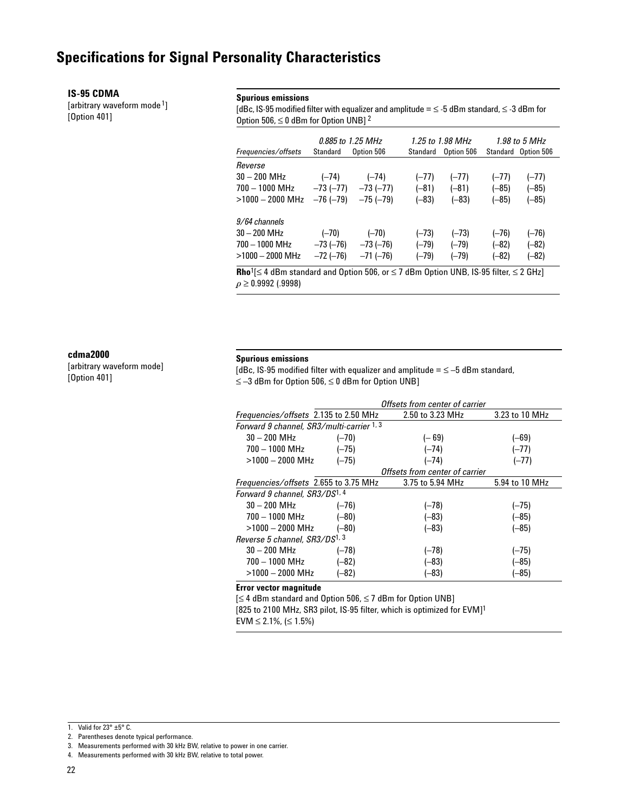#### **IS-95 CDMA**

[arbitrary waveform mode<sup>1</sup>] [Option 401]

#### **Spurious emissions**

[dBc, IS-95 modified filter with equalizer and amplitude =  $\leq$  -5 dBm standard,  $\leq$  -3 dBm for Option 506,  $\leq$  0 dBm for Option UNB] <sup>2</sup>

|                     | 0.885 to 1.25 MHz                                                                                                       |            |          | 1.25 to 1.98 MHz | 1.98 to 5 MHz |                     |  |  |
|---------------------|-------------------------------------------------------------------------------------------------------------------------|------------|----------|------------------|---------------|---------------------|--|--|
| Frequencies/offsets | Standard                                                                                                                | Option 506 | Standard | Option 506       |               | Standard Option 506 |  |  |
| Reverse             |                                                                                                                         |            |          |                  |               |                     |  |  |
| 30 – 200 MHz        | $(-74)$                                                                                                                 | $(-74)$    | $(-77)$  | $(-77)$          | $(-77)$       | $(-77)$             |  |  |
| 700 - 1000 MHz      | $-73(-77)$                                                                                                              | $-73(-77)$ | $(-81)$  | $(-81)$          | $(-85)$       | $(-85)$             |  |  |
| $>1000 - 2000$ MHz  | $-76(-79)$                                                                                                              | $-75(-79)$ | $(-83)$  | $(-83)$          | $(-85)$       | $(-85)$             |  |  |
| 9/64 channels       |                                                                                                                         |            |          |                  |               |                     |  |  |
| $30 - 200$ MHz      | $(-70)$                                                                                                                 | $(-70)$    | $(-73)$  | $(-73)$          | $(-76)$       | $(-76)$             |  |  |
| 700 - 1000 MHz      | $-73$ ( $-76$ )                                                                                                         | $-73(-76)$ | $(-79)$  | $(-79)$          | $(-82)$       | $(-82)$             |  |  |
| $>1000 - 2000$ MHz  | $-72(-76)$                                                                                                              | $-71(-76)$ | $(-79)$  | $(-79)$          | $(-82)$       | (–82)               |  |  |
|                     | <b>Rho</b> <sup>1</sup> [ $\leq$ 4 dBm standard and Option 506, or $\leq$ 7 dBm Option UNB, IS-95 filter, $\leq$ 2 GHz] |            |          |                  |               |                     |  |  |

 $\rho \geq 0.9992$  (.9998)

#### **cdma2000**

[arbitrary waveform mode] [Option 401]

#### **Spurious emissions**

[dBc, IS-95 modified filter with equalizer and amplitude =  $\leq$  -5 dBm standard, ≤ –3 dBm for Option 506, ≤ 0 dBm for Option UNB]

|                                           | Offsets from center of carrier                                              |                                |                |  |  |  |  |  |  |
|-------------------------------------------|-----------------------------------------------------------------------------|--------------------------------|----------------|--|--|--|--|--|--|
|                                           | 2.50 to 3.23 MHz<br>3.23 to 10 MHz<br>Frequencies/offsets 2.135 to 2.50 MHz |                                |                |  |  |  |  |  |  |
| Forward 9 channel, SR3/multi-carrier 1, 3 |                                                                             |                                |                |  |  |  |  |  |  |
| $30 - 200$ MHz                            | $(-70)$                                                                     | $(-69)$                        | $(-69)$        |  |  |  |  |  |  |
| $700 - 1000$ MHz                          | $(-75)$                                                                     | $(-74)$                        | $(-77)$        |  |  |  |  |  |  |
| $>1000 - 2000$ MHz                        | $(-75)$                                                                     | $(-74)$                        | $(-77)$        |  |  |  |  |  |  |
|                                           |                                                                             | Offsets from center of carrier |                |  |  |  |  |  |  |
| Frequencies/offsets 2.655 to 3.75 MHz     |                                                                             | 3.75 to 5.94 MHz               | 5.94 to 10 MHz |  |  |  |  |  |  |
| Forward 9 channel, SR3/DS <sup>1, 4</sup> |                                                                             |                                |                |  |  |  |  |  |  |
| $30 - 200$ MHz                            | $(-76)$                                                                     | $(-78)$                        | $(-75)$        |  |  |  |  |  |  |
| $700 - 1000$ MHz                          | $(-80)$                                                                     | $(-83)$                        | $(-85)$        |  |  |  |  |  |  |
| $>1000-2000$ MHz                          | $(-80)$                                                                     | $(-83)$                        | (–85)          |  |  |  |  |  |  |
| Reverse 5 channel, SR3/DS1, 3             |                                                                             |                                |                |  |  |  |  |  |  |
| $30 - 200$ MHz                            | $(-78)$                                                                     | $(-78)$                        | $(-75)$        |  |  |  |  |  |  |
| $700 - 1000$ MHz                          | $(-82)$                                                                     | $(-83)$                        | (–85)          |  |  |  |  |  |  |
| $>$ 1000 $-$ 2000 MHz                     | (–82)                                                                       | (–83)                          | (–85)          |  |  |  |  |  |  |

#### **Error vector magnitude**

[≤ 4 dBm standard and Option 506, ≤ 7 dBm for Option UNB] [825 to 2100 MHz, SR3 pilot, IS-95 filter, which is optimized for EVM]1

EVM  $\leq$  2.1%, ( $\leq$  1.5%)

<sup>1.</sup> Valid for  $23^\circ \pm 5^\circ$  C.

<sup>2.</sup> Parentheses denote typical performance.

<sup>3.</sup> Measurements performed with 30 kHz BW, relative to power in one carrier.

<sup>4.</sup> Measurements performed with 30 kHz BW, relative to total power.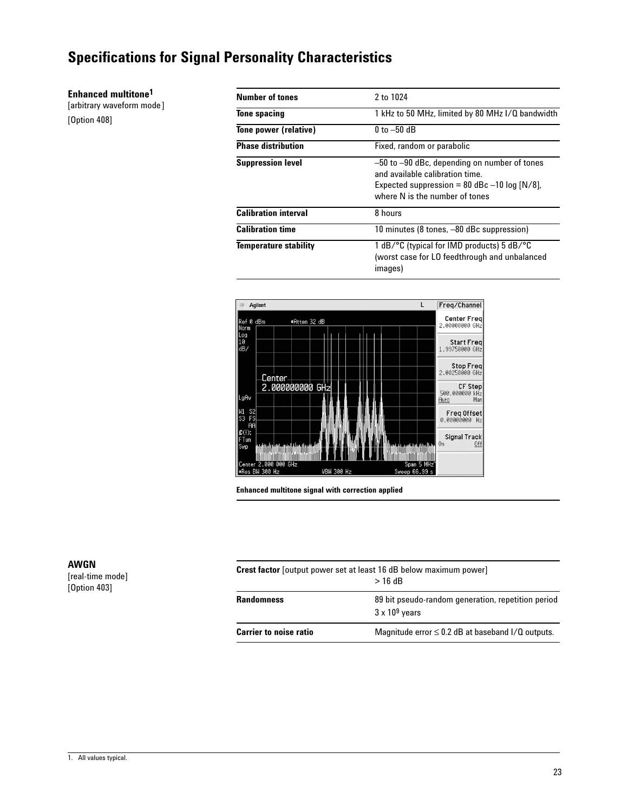**Enhanced multitone1**

[arbitrary waveform mode] [Option 408]

| Number of tones              | 2 to 1024                                                                                                                                                           |
|------------------------------|---------------------------------------------------------------------------------------------------------------------------------------------------------------------|
| <b>Tone spacing</b>          | 1 kHz to 50 MHz, limited by 80 MHz I/Q bandwidth                                                                                                                    |
| Tone power (relative)        | $0$ to $-50$ dB                                                                                                                                                     |
| <b>Phase distribution</b>    | Fixed, random or parabolic                                                                                                                                          |
| <b>Suppression level</b>     | -50 to -90 dBc, depending on number of tones<br>and available calibration time.<br>Expected suppression = 80 dBc $-10$ log [N/8],<br>where N is the number of tones |
| <b>Calibration interval</b>  | 8 hours                                                                                                                                                             |
| <b>Calibration time</b>      | 10 minutes (8 tones, -80 dBc suppression)                                                                                                                           |
| <b>Temperature stability</b> | 1 dB/ $\degree$ C (typical for IMD products) 5 dB/ $\degree$ C<br>(worst case for LO feedthrough and unbalanced<br>images)                                          |



**Enhanced multitone signal with correction applied**

[real-time mode] [Option 403]

| <b>Crest factor</b> [output power set at least 16 dB below maximum power]<br>$>16$ dB |                                                                             |  |  |  |
|---------------------------------------------------------------------------------------|-----------------------------------------------------------------------------|--|--|--|
| <b>Randomness</b>                                                                     | 89 bit pseudo-random generation, repetition period<br>$3 \times 10^9$ years |  |  |  |
| <b>Carrier to noise ratio</b>                                                         | Magnitude error $\leq 0.2$ dB at baseband I/Q outputs.                      |  |  |  |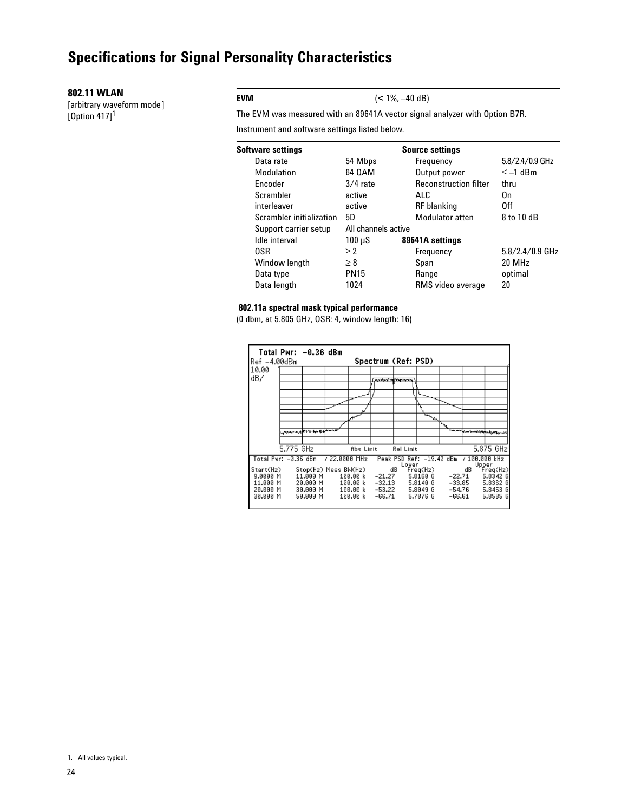#### **802.11 WLAN**

[arbitrary waveform mode] [Option 417]1

#### **EVM** (**<** 1%, –40 dB)

The EVM was measured with an 89641A vector signal analyzer with Option B7R.

Instrument and software settings listed below.

| Software settings        |                     | <b>Source settings</b>       |                   |
|--------------------------|---------------------|------------------------------|-------------------|
| Data rate                | 54 Mbps             | Frequency                    | $5.8/2.4/0.9$ GHz |
| Modulation               | 64 QAM              | Output power                 | $\leq -1$ dBm     |
| <b>Encoder</b>           | $3/4$ rate          | <b>Reconstruction filter</b> | thru              |
| Scrambler                | active              | ALC.                         | On                |
| interleaver              | active              | <b>RF</b> blanking           | 0ff               |
| Scrambler initialization | 5D                  | Modulator atten              | 8 to 10 dB        |
| Support carrier setup    | All channels active |                              |                   |
| Idle interval            | $100 \mu S$         | 89641A settings              |                   |
| 0SR                      | $\geq$ 2            | Frequency                    | $5.8/2.4/0.9$ GHz |
| Window length            | $\geq 8$            | Span                         | 20 MHz            |
| Data type                | <b>PN15</b>         | Range                        | optimal           |
| Data length              | 1024                | RMS video average            | 20                |
|                          |                     |                              |                   |

#### **802.11a spectral mask typical performance**

(0 dbm, at 5.805 GHz, OSR: 4, window length: 16)

| Ref -4.00dBm                                              | Total Pwr: -0.36 dBm |                                                                      |                |                                              | Spectrum (Ref: PSD)                            |                  |                                                          |                                        |              |                                                                   |
|-----------------------------------------------------------|----------------------|----------------------------------------------------------------------|----------------|----------------------------------------------|------------------------------------------------|------------------|----------------------------------------------------------|----------------------------------------|--------------|-------------------------------------------------------------------|
| 10.00<br>dB/                                              |                      |                                                                      |                |                                              | <b>ANTHONY OF THE TOYOTA</b>                   |                  |                                                          |                                        |              |                                                                   |
|                                                           |                      |                                                                      |                |                                              |                                                |                  |                                                          |                                        |              |                                                                   |
|                                                           |                      |                                                                      |                | سمهر                                         |                                                |                  | $\overline{\mathcal{L}}_{\mathcal{M}}$                   |                                        |              |                                                                   |
|                                                           |                      | where we speculated the more                                         |                |                                              |                                                |                  |                                                          |                                        |              |                                                                   |
|                                                           | 5.775 GHz            |                                                                      |                | Abs Limit                                    |                                                | <b>Rel Limit</b> |                                                          |                                        |              | 5.875 GHz                                                         |
| Total Pwr: -0.36 dBm                                      |                      |                                                                      | $/22.0000$ MHz |                                              |                                                | Lower            |                                                          | Peak PSD Ref: -19.40 dBm / 100.000 kHz |              |                                                                   |
| Start(Hz)<br>9.0000 M<br>11.000 M<br>20.000 M<br>30.000 M |                      | Stop(Hz) Meas BW(Hz)<br>11.000 M<br>20.000 M<br>30.000 M<br>50.000 M |                | 100.00 k<br>100.00 k<br>100.00 k<br>100.00 k | dB<br>$-21.27$<br>-32.13<br>-53.22<br>$-66.71$ |                  | Freq(Hz)<br>5.8160 6<br>5.8140 6<br>5.8049 6<br>5.7876 6 | -22.71<br>-54.76<br>$-66.61$           | dB<br>-33.85 | Upper<br>Freq(Hz)<br>5.8342 6<br>5.8362 6<br>5.8453 6<br>5.8585 6 |

<sup>1.</sup> All values typical.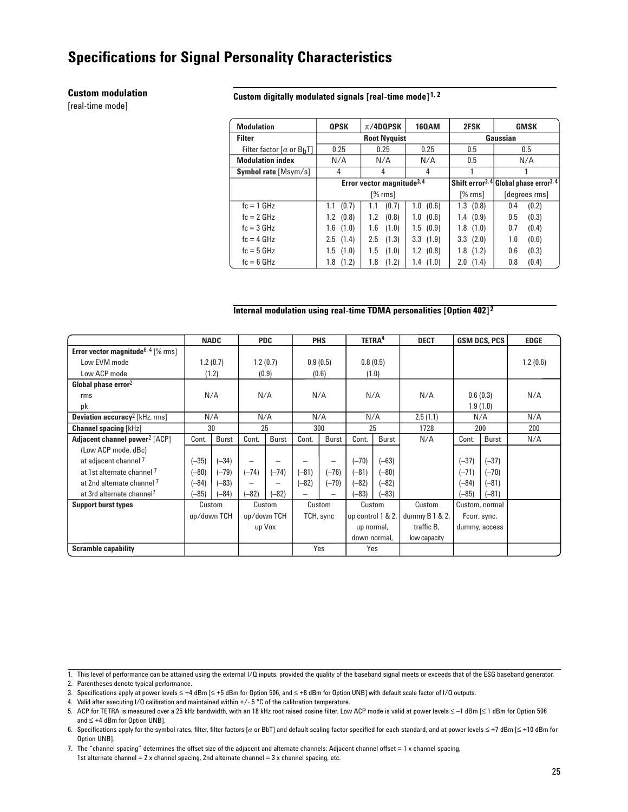#### **Custom modulation**

[real-time mode]

#### **Custom digitally modulated signals [real-time mode] 1, 2**

| <b>Modulation</b>             | <b>QPSK</b>   | $\pi$ /4DQPSK                          | <b>160AM</b> | 2FSK                                                           | <b>GMSK</b>   |  |  |
|-------------------------------|---------------|----------------------------------------|--------------|----------------------------------------------------------------|---------------|--|--|
| <b>Filter</b>                 |               | <b>Root Nyquist</b>                    |              | Gaussian                                                       |               |  |  |
| Filter factor $[a$ or $B_hT]$ | 0.25          | 0.25                                   | 0.25         | 0.5                                                            | 0.5           |  |  |
| <b>Modulation index</b>       | N/A           | N/A                                    | N/A          | 0.5                                                            | N/A           |  |  |
| <b>Symbol rate [Msym/s]</b>   | 4             | 4                                      | 4            |                                                                |               |  |  |
|                               |               | Error vector magnitude <sup>3, 4</sup> |              | Shift error <sup>3, 4</sup> Global phase error <sup>3, 4</sup> |               |  |  |
|                               |               | $[%$ rms]                              |              | $[%$ rms]                                                      | (degrees rms) |  |  |
| $fc = 1$ GHz                  | (0.7)<br>1.1  | (0.7)<br>1.1                           | (0.6)<br>1.0 | 1.3(0.8)                                                       | (0.2)<br>0.4  |  |  |
| $fc = 2 GHz$                  | $1.2$ (0.8)   | (0.8)<br>1.2                           | (0.6)<br>1.0 | 1.4(0.9)                                                       | (0.3)<br>0.5  |  |  |
| $fc = 3 GHz$                  | $1.6$ $(1.0)$ | (1.0)<br>1.6                           | 1.5(0.9)     | 1.8(1.0)                                                       | (0.4)<br>0.7  |  |  |
| $fc = 4 GHz$                  | $2.5$ $(1.4)$ | (1.3)<br>2.5                           | 3.3(1.9)     | 3.3(2.0)                                                       | (0.6)<br>1.0  |  |  |
| $fc = 5 GHz$                  | $1.5$ $(1.0)$ | 1.5<br>(1.0)                           | $1.2$ (0.8)  | 1.8(1.2)                                                       | 0.6<br>(0.3)  |  |  |
| $fc = 6$ GHz                  | (1.2)<br>1.8  | (1.2)<br>1.8                           | 1.4(1.0)     | 2.0(1.4)                                                       | (0.4)<br>0.8  |  |  |

#### **Internal modulation using real-time TDMA personalities [Option 402] 2**

|                                                       |             | <b>NADC</b> |                          | <b>PDC</b>               |                          | <b>PHS</b>   |                   | TETRA <sup>4</sup> | <b>DECT</b>      |                | <b>GSM DCS, PCS</b> | <b>EDGE</b> |
|-------------------------------------------------------|-------------|-------------|--------------------------|--------------------------|--------------------------|--------------|-------------------|--------------------|------------------|----------------|---------------------|-------------|
| <b>Error vector magnitude</b> <sup>6, 4</sup> [% rms] |             |             |                          |                          |                          |              |                   |                    |                  |                |                     |             |
| Low EVM mode                                          |             | 1.2(0.7)    |                          | 1.2(0.7)                 |                          | 0.9(0.5)     |                   | 0.8(0.5)           |                  |                |                     | 1.2(0.6)    |
| Low ACP mode                                          |             | (1.2)       |                          | (0.9)                    | (0.6)                    |              | (1.0)             |                    |                  |                |                     |             |
| Global phase $error2$                                 |             |             |                          |                          |                          |              |                   |                    |                  |                |                     |             |
| rms                                                   |             | N/A         | N/A                      |                          |                          | N/A          |                   | N/A                | N/A              |                | 0.6(0.3)            | N/A         |
| pk                                                    |             |             |                          |                          |                          |              |                   |                    |                  |                | 1.9(1.0)            |             |
| <b>Deviation accuracy</b> <sup>2</sup> [kHz, rms]     |             | N/A         |                          | N/A<br>N/A               |                          |              | N/A               | 2.5(1.1)           |                  | N/A            | N/A                 |             |
| <b>Channel spacing [kHz]</b>                          |             | 30          |                          | 25<br>300                |                          | 25           |                   | 1728               |                  | 200            | 200                 |             |
| Adjacent channel power <sup>2</sup> [ACP]             | Cont.       | Burst       | Cont.                    | Burst                    | Cont.                    | <b>Burst</b> | Cont.             | <b>Burst</b>       | N/A              | Cont.          | <b>Burst</b>        | N/A         |
| (Low ACP mode, dBc)                                   |             |             |                          |                          |                          |              |                   |                    |                  |                |                     |             |
| at adjacent channel 7                                 | $(-35)$     | $-34)$      | $\overline{\phantom{0}}$ |                          |                          | -            | $(-70)$           | $(-63)$            |                  | $(-37)$        | $(-37)$             |             |
| at 1st alternate channel 7                            | $(-80)$     | $(-79)$     | $(-74)$                  | $(-74)$                  | $(-81)$                  | $(-76)$      | $(-81)$           | $(-80)$            |                  | $(-71)$        | $(-70)$             |             |
| at 2nd alternate channel 7                            | $(-84)$     | $(-83)$     | $\qquad \qquad$          | $\overline{\phantom{0}}$ | $(-82)$                  | $(-79)$      | $(-82)$           | $(-82)$            |                  | $(-84)$        | $(-81)$             |             |
| at 3rd alternate channel <sup>7</sup>                 | $-85)$      | $-84)$      | $(-82)$                  | -82)                     | $\overline{\phantom{0}}$ |              | $-83)$            | $-83)$             |                  | $(-85)$        | $-81)$              |             |
| <b>Support burst types</b>                            |             | Custom      |                          | Custom                   |                          | Custom       | Custom            |                    | Custom           | Custom, normal |                     |             |
|                                                       | up/down TCH |             |                          | up/down TCH              |                          | TCH, sync    | up control 1 & 2, |                    | dummy $B1 & 2$ , |                | Fcorr, sync,        |             |
|                                                       |             |             |                          | up Vox                   |                          |              | up normal,        |                    | traffic B,       |                | dummy, access       |             |
|                                                       |             |             |                          |                          |                          |              | down normal,      |                    | low capacity     |                |                     |             |
| <b>Scramble capability</b>                            |             |             |                          |                          |                          | Yes          |                   | Yes                |                  |                |                     |             |

1. This level of performance can be attained using the external I/Q inputs, provided the quality of the baseband signal meets or exceeds that of the ESG baseband generator.

2. Parentheses denote typical performance.

3. Specifications apply at power levels ≤ +4 dBm [≤ +5 dBm for Option 506, and ≤ +8 dBm for Option UNB] with default scale factor of I/Q outputs.

4. Valid after executing I/Q calibration and maintained within +/- 5 °C of the calibration temperature.

7. The "channel spacing" determines the offset size of the adjacent and alternate channels: Adjacent channel offset = 1 x channel spacing, 1st alternate channel = 2 x channel spacing, 2nd alternate channel = 3 x channel spacing, etc.

<sup>5.</sup> ACP for TETRA is measured over a 25 kHz bandwidth, with an 18 kHz root raised cosine filter. Low ACP mode is valid at power levels ≤ –1 dBm [≤ 1 dBm for Option 506 and ≤ +4 dBm for Option UNB].

<sup>6.</sup> Specifications apply for the symbol rates, filter, filter factors [a or BbT] and default scaling factor specified for each standard, and at power levels ≤ +7 dBm [≤ +10 dBm for Option UNB].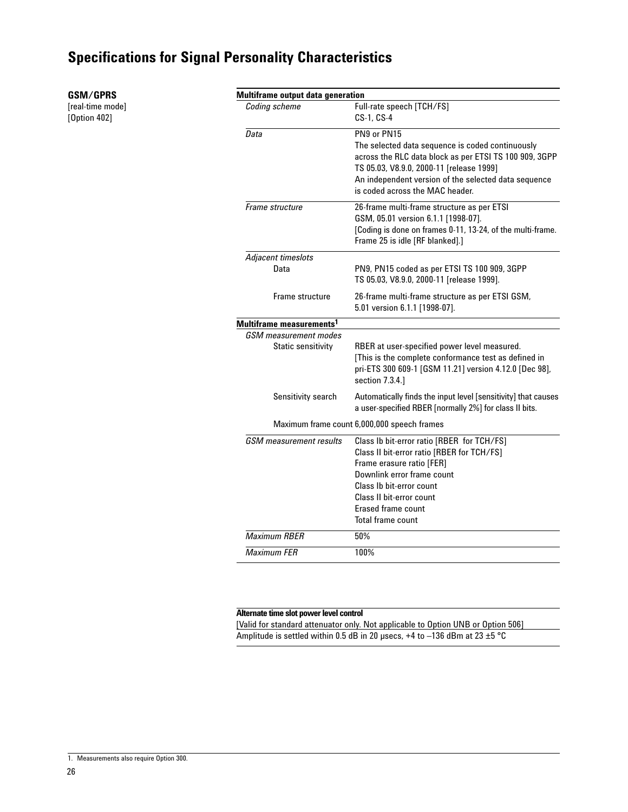**GSM/GPRS** [real-time mode] [Option 402]

| Multiframe output data generation    |                                                                                                                                                                                                                                                                      |
|--------------------------------------|----------------------------------------------------------------------------------------------------------------------------------------------------------------------------------------------------------------------------------------------------------------------|
| Coding scheme                        | Full-rate speech [TCH/FS]<br>CS-1, CS-4                                                                                                                                                                                                                              |
| Data                                 | PN9 or PN15<br>The selected data sequence is coded continuously<br>across the RLC data block as per ETSI TS 100 909, 3GPP<br>TS 05.03, V8.9.0, 2000-11 [release 1999]<br>An independent version of the selected data sequence<br>is coded across the MAC header.     |
| Frame structure                      | 26-frame multi-frame structure as per ETSI<br>GSM, 05.01 version 6.1.1 [1998-07].<br>[Coding is done on frames 0-11, 13-24, of the multi-frame.<br>Frame 25 is idle [RF blanked].]                                                                                   |
| Adjacent timeslots                   |                                                                                                                                                                                                                                                                      |
| Data                                 | PN9, PN15 coded as per ETSI TS 100 909, 3GPP<br>TS 05.03, V8.9.0, 2000-11 [release 1999].                                                                                                                                                                            |
| Frame structure                      | 26-frame multi-frame structure as per ETSI GSM,<br>5.01 version 6.1.1 [1998-07].                                                                                                                                                                                     |
| Multiframe measurements <sup>1</sup> |                                                                                                                                                                                                                                                                      |
| GSM measurement modes                |                                                                                                                                                                                                                                                                      |
| Static sensitivity                   | RBER at user-specified power level measured.<br>[This is the complete conformance test as defined in<br>pri-ETS 300 609-1 [GSM 11.21] version 4.12.0 [Dec 98],<br>section 7.3.4.]                                                                                    |
| Sensitivity search                   | Automatically finds the input level [sensitivity] that causes<br>a user-specified RBER [normally 2%] for class II bits.                                                                                                                                              |
|                                      | Maximum frame count 6,000,000 speech frames                                                                                                                                                                                                                          |
| <b>GSM</b> measurement results       | Class Ib bit-error ratio [RBER for TCH/FS]<br>Class II bit-error ratio [RBER for TCH/FS]<br>Frame erasure ratio [FER]<br>Downlink error frame count<br>Class Ib bit-error count<br>Class II bit-error count<br><b>Erased frame count</b><br><b>Total frame count</b> |
| <b>Maximum RBER</b>                  | 50%                                                                                                                                                                                                                                                                  |
| <b>Maximum FER</b>                   | 100%                                                                                                                                                                                                                                                                 |

#### **Alternate time slot power level control**

[Valid for standard attenuator only. Not applicable to Option UNB or Option 506] Amplitude is settled within 0.5 dB in 20 µsecs, +4 to –136 dBm at 23 ±5 °C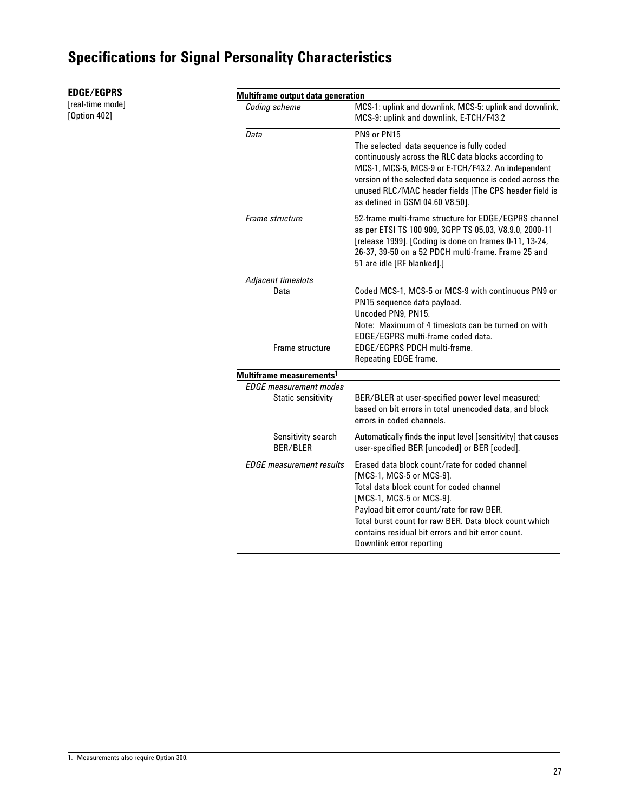| <b>EDGE/EGPRS</b> |  |
|-------------------|--|
|-------------------|--|

[real-time mode] [Option 402]

#### **Multiframe output data generation**

| Coding scheme                                              | MCS-1: uplink and downlink, MCS-5: uplink and downlink,<br>MCS-9: uplink and downlink, E-TCH/F43.2                                                                                                                                                                                                                                        |
|------------------------------------------------------------|-------------------------------------------------------------------------------------------------------------------------------------------------------------------------------------------------------------------------------------------------------------------------------------------------------------------------------------------|
| Data                                                       | PN9 or PN15<br>The selected data sequence is fully coded<br>continuously across the RLC data blocks according to<br>MCS-1, MCS-5, MCS-9 or E-TCH/F43.2. An independent<br>version of the selected data sequence is coded across the<br>unused RLC/MAC header fields [The CPS header field is<br>as defined in GSM 04.60 V8.50].           |
| Frame structure                                            | 52-frame multi-frame structure for EDGE/EGPRS channel<br>as per ETSI TS 100 909, 3GPP TS 05.03, V8.9.0, 2000-11<br>[release 1999]. [Coding is done on frames 0-11, 13-24,<br>26-37, 39-50 on a 52 PDCH multi-frame. Frame 25 and<br>51 are idle [RF blanked].]                                                                            |
| Adjacent timeslots                                         |                                                                                                                                                                                                                                                                                                                                           |
| Data<br>Frame structure                                    | Coded MCS-1, MCS-5 or MCS-9 with continuous PN9 or<br>PN15 sequence data payload.<br>Uncoded PN9, PN15.<br>Note: Maximum of 4 timeslots can be turned on with<br>EDGE/EGPRS multi-frame coded data.<br>EDGE/EGPRS PDCH multi-frame.<br>Repeating EDGE frame.                                                                              |
| Multiframe measurements <sup>1</sup>                       |                                                                                                                                                                                                                                                                                                                                           |
| <b>EDGE</b> measurement modes<br><b>Static sensitivity</b> | BER/BLER at user-specified power level measured;<br>based on bit errors in total unencoded data, and block<br>errors in coded channels.                                                                                                                                                                                                   |
| Sensitivity search<br>BER/BLER                             | Automatically finds the input level [sensitivity] that causes<br>user-specified BER [uncoded] or BER [coded].                                                                                                                                                                                                                             |
| <b>EDGE</b> measurement results                            | Erased data block count/rate for coded channel<br>[MCS-1, MCS-5 or MCS-9].<br>Total data block count for coded channel<br>[MCS-1, MCS-5 or MCS-9].<br>Payload bit error count/rate for raw BER.<br>Total burst count for raw BER. Data block count which<br>contains residual bit errors and bit error count.<br>Downlink error reporting |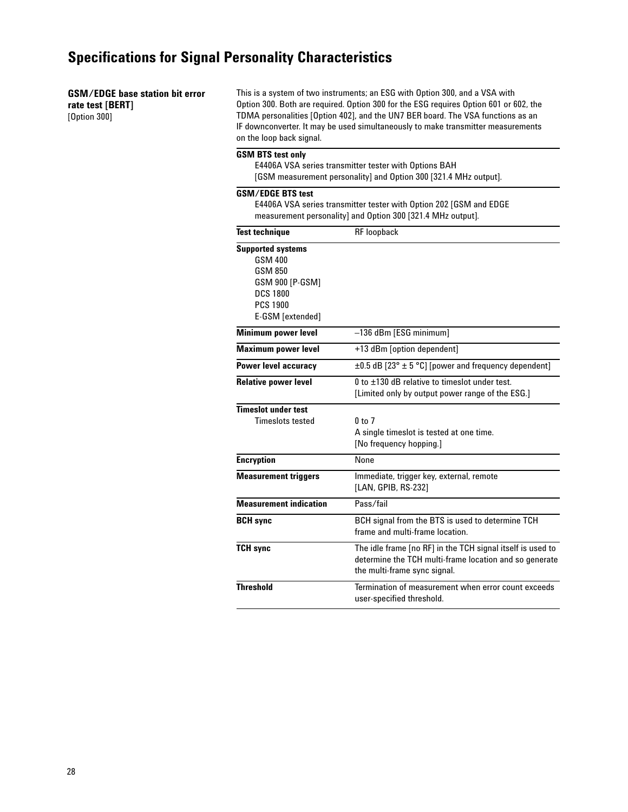#### **GSM/EDGE base station bit error rate test [BERT]**

[Option 300]

This is a system of two instruments; an ESG with Option 300, and a VSA with Option 300. Both are required. Option 300 for the ESG requires Option 601 or 602, the TDMA personalities [Option 402], and the UN7 BER board. The VSA functions as an IF downconverter. It may be used simultaneously to make transmitter measurements on the loop back signal.

#### **GSM BTS test only**

E4406A VSA series transmitter tester with Options BAH [GSM measurement personality] and Option 300 [321.4 MHz output].

#### **GSM/EDGE BTS test**

E4406A VSA series transmitter tester with Option 202 [GSM and EDGE measurement personality] and Option 300 [321.4 MHz output].

| <b>Test technique</b>                                                                                                              | <b>RF</b> loopback                                                                                                                                   |
|------------------------------------------------------------------------------------------------------------------------------------|------------------------------------------------------------------------------------------------------------------------------------------------------|
| <b>Supported systems</b><br><b>GSM 400</b><br>GSM 850<br>GSM 900 [P-GSM]<br><b>DCS 1800</b><br><b>PCS 1900</b><br>E-GSM [extended] |                                                                                                                                                      |
| Minimum power level                                                                                                                | -136 dBm [ESG minimum]                                                                                                                               |
| <b>Maximum power level</b>                                                                                                         | +13 dBm [option dependent]                                                                                                                           |
| Power level accuracy                                                                                                               | $\pm 0.5$ dB [23° $\pm$ 5 °C] [power and frequency dependent]                                                                                        |
| <b>Relative power level</b>                                                                                                        | $0$ to $\pm$ 130 dB relative to timeslot under test.<br>[Limited only by output power range of the ESG.]                                             |
| <b>Timeslot under test</b><br><b>Timeslots tested</b>                                                                              | $0$ to $7$<br>A single timeslot is tested at one time.<br>[No frequency hopping.]                                                                    |
| <b>Encryption</b>                                                                                                                  | None                                                                                                                                                 |
| <b>Measurement triggers</b>                                                                                                        | Immediate, trigger key, external, remote<br>[LAN, GPIB, RS-232]                                                                                      |
| <b>Measurement indication</b>                                                                                                      | Pass/fail                                                                                                                                            |
| <b>BCH</b> sync                                                                                                                    | BCH signal from the BTS is used to determine TCH<br>frame and multi-frame location.                                                                  |
| <b>TCH sync</b>                                                                                                                    | The idle frame [no RF] in the TCH signal itself is used to<br>determine the TCH multi-frame location and so generate<br>the multi-frame sync signal. |
| <b>Threshold</b>                                                                                                                   | Termination of measurement when error count exceeds<br>user-specified threshold.                                                                     |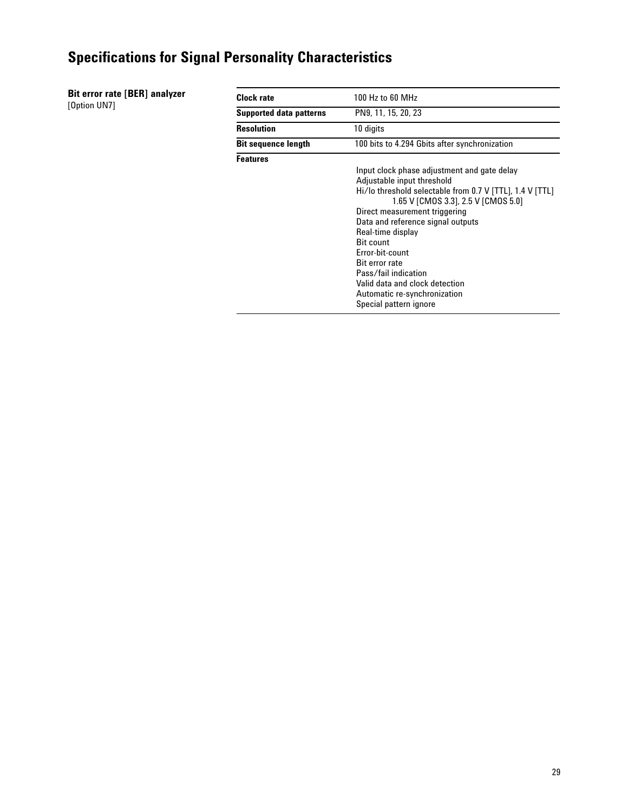**Bit error rate [BER] analyzer** [Option UN7]

| <b>Clock rate</b>              | 100 Hz to 60 MHz                                                                                                                                                                                                                                                                                                                                                                                                                                            |  |
|--------------------------------|-------------------------------------------------------------------------------------------------------------------------------------------------------------------------------------------------------------------------------------------------------------------------------------------------------------------------------------------------------------------------------------------------------------------------------------------------------------|--|
| <b>Supported data patterns</b> | PN9, 11, 15, 20, 23                                                                                                                                                                                                                                                                                                                                                                                                                                         |  |
| <b>Resolution</b>              | 10 digits                                                                                                                                                                                                                                                                                                                                                                                                                                                   |  |
| <b>Bit sequence length</b>     | 100 bits to 4.294 Gbits after synchronization                                                                                                                                                                                                                                                                                                                                                                                                               |  |
| <b>Features</b>                | Input clock phase adjustment and gate delay<br>Adjustable input threshold<br>Hi/lo threshold selectable from 0.7 V [TTL], 1.4 V [TTL]<br>1.65 V [CMOS 3.3], 2.5 V [CMOS 5.0]<br>Direct measurement triggering<br>Data and reference signal outputs<br>Real-time display<br><b>Bit count</b><br>Error-bit-count<br><b>Bit error rate</b><br>Pass/fail indication<br>Valid data and clock detection<br>Automatic re-synchronization<br>Special pattern ignore |  |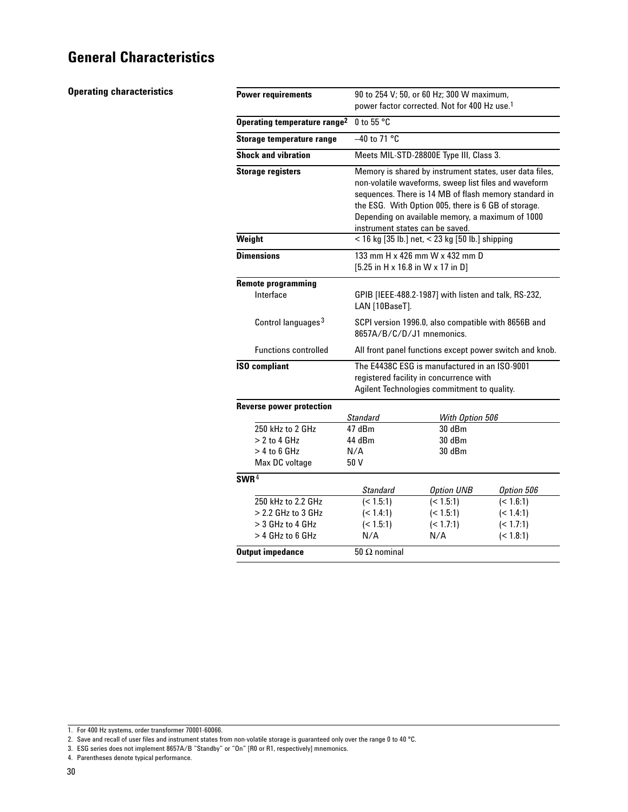**Operating characteristics**

| <b>Power requirements</b>                | 90 to 254 V; 50, or 60 Hz; 300 W maximum,<br>power factor corrected. Not for 400 Hz use. <sup>1</sup>                                                                                                                                                                                                                   |                                |                        |  |  |  |  |
|------------------------------------------|-------------------------------------------------------------------------------------------------------------------------------------------------------------------------------------------------------------------------------------------------------------------------------------------------------------------------|--------------------------------|------------------------|--|--|--|--|
| Operating temperature range <sup>2</sup> | 0 to 55 $\degree$ C                                                                                                                                                                                                                                                                                                     |                                |                        |  |  |  |  |
| Storage temperature range                | $-40$ to 71 °C                                                                                                                                                                                                                                                                                                          |                                |                        |  |  |  |  |
| <b>Shock and vibration</b>               | Meets MIL-STD-28800E Type III, Class 3.                                                                                                                                                                                                                                                                                 |                                |                        |  |  |  |  |
| <b>Storage registers</b>                 | Memory is shared by instrument states, user data files,<br>non-volatile waveforms, sweep list files and waveform<br>sequences. There is 14 MB of flash memory standard in<br>the ESG. With Option 005, there is 6 GB of storage.<br>Depending on available memory, a maximum of 1000<br>instrument states can be saved. |                                |                        |  |  |  |  |
| Weight                                   | < 16 kg [35 lb.] net, < 23 kg [50 lb.] shipping                                                                                                                                                                                                                                                                         |                                |                        |  |  |  |  |
| <b>Dimensions</b>                        | 133 mm H x 426 mm W x 432 mm D<br>$[5.25$ in H x 16.8 in W x 17 in D]                                                                                                                                                                                                                                                   |                                |                        |  |  |  |  |
| <b>Remote programming</b>                |                                                                                                                                                                                                                                                                                                                         |                                |                        |  |  |  |  |
| Interface                                | GPIB [IEEE-488.2-1987] with listen and talk, RS-232,<br>LAN [10BaseT].                                                                                                                                                                                                                                                  |                                |                        |  |  |  |  |
| Control languages <sup>3</sup>           | SCPI version 1996.0, also compatible with 8656B and<br>8657A/B/C/D/J1 mnemonics.                                                                                                                                                                                                                                        |                                |                        |  |  |  |  |
| <b>Functions controlled</b>              | All front panel functions except power switch and knob.                                                                                                                                                                                                                                                                 |                                |                        |  |  |  |  |
| <b>ISO compliant</b>                     | The E4438C ESG is manufactured in an ISO-9001<br>registered facility in concurrence with<br>Agilent Technologies commitment to quality.                                                                                                                                                                                 |                                |                        |  |  |  |  |
| <b>Reverse power protection</b>          |                                                                                                                                                                                                                                                                                                                         |                                |                        |  |  |  |  |
| 250 kHz to 2 GHz                         | <b>Standard</b><br>47 dBm                                                                                                                                                                                                                                                                                               | With Option 506<br>30 dBm      |                        |  |  |  |  |
| $> 2$ to 4 GHz                           | 44 dBm                                                                                                                                                                                                                                                                                                                  | 30dBm                          |                        |  |  |  |  |
| $> 4$ to 6 GHz                           | N/A                                                                                                                                                                                                                                                                                                                     | 30 dBm                         |                        |  |  |  |  |
| Max DC voltage                           | 50 V                                                                                                                                                                                                                                                                                                                    |                                |                        |  |  |  |  |
| SWR <sup>4</sup>                         |                                                                                                                                                                                                                                                                                                                         |                                |                        |  |  |  |  |
| 250 kHz to 2.2 GHz                       | Standard<br>(< 1.5:1)                                                                                                                                                                                                                                                                                                   | <b>Option UNB</b><br>(< 1.5:1) | Option 506             |  |  |  |  |
| $> 2.2$ GHz to 3 GHz                     | (< 1.4:1)                                                                                                                                                                                                                                                                                                               | (< 1.5:1)                      | (< 1.6:1)<br>(< 1.4:1) |  |  |  |  |
| $>$ 3 GHz to 4 GHz                       | (< 1.5:1)                                                                                                                                                                                                                                                                                                               | (< 1.7:1)                      | (< 1.7:1)              |  |  |  |  |
| > 4 GHz to 6 GHz                         | N/A                                                                                                                                                                                                                                                                                                                     | N/A                            | (< 1.8:1)              |  |  |  |  |
| <b>Output impedance</b>                  | $50 \Omega$ nominal                                                                                                                                                                                                                                                                                                     |                                |                        |  |  |  |  |

4. Parentheses denote typical performance.

<sup>1.</sup> For 400 Hz systems, order transformer 70001-60066.

<sup>2.</sup> Save and recall of user files and instrument states from non-volatile storage is guaranteed only over the range 0 to 40 °C.

<sup>3.</sup> ESG series does not implement 8657A/B "Standby" or "On" [R0 or R1, respectively] mnemonics.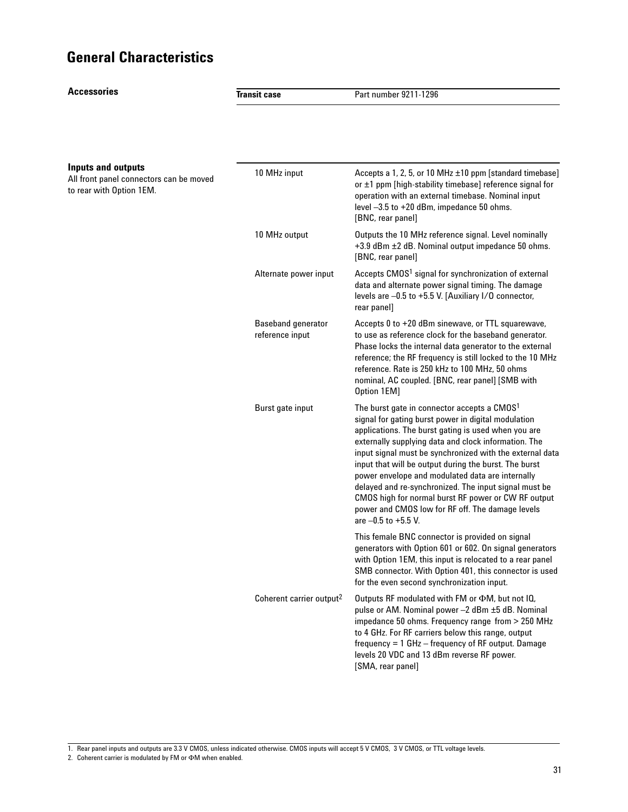**Accessories**

**Transit case** Part number 9211-1296 10 MHz input  $\triangle$  Accepts a 1, 2, 5, or 10 MHz  $\pm$ 10 ppm [standard timebase] or ±1 ppm [high-stability timebase] reference signal for operation with an external timebase. Nominal input level –3.5 to +20 dBm, impedance 50 ohms. [BNC, rear panel] 10 MHz output **C** Outputs the 10 MHz reference signal. Level nominally +3.9 dBm ±2 dB. Nominal output impedance 50 ohms. [BNC, rear panel] Alternate power input Accepts CMOS<sup>1</sup> signal for synchronization of external data and alternate power signal timing. The damage levels are –0.5 to +5.5 V. [Auxiliary I/O connector, rear panel] Baseband generator <br>Accepts 0 to +20 dBm sinewave, or TTL squarewave, reference input to use as reference clock for the baseband generator. Phase locks the internal data generator to the external reference; the RF frequency is still locked to the 10 MHz reference. Rate is 250 kHz to 100 MHz, 50 ohms nominal, AC coupled. [BNC, rear panel] [SMB with Option 1EM] Burst gate input The burst gate in connector accepts a CMOS<sup>1</sup> signal for gating burst power in digital modulation applications. The burst gating is used when you are externally supplying data and clock information. The input signal must be synchronized with the external data input that will be output during the burst. The burst power envelope and modulated data are internally delayed and re-synchronized. The input signal must be CMOS high for normal burst RF power or CW RF output power and CMOS low for RF off. The damage levels are –0.5 to +5.5 V. This female BNC connector is provided on signal generators with Option 601 or 602. On signal generators with Option 1EM, this input is relocated to a rear panel SMB connector. With Option 401, this connector is used for the even second synchronization input. Coherent carrier output<sup>2</sup> Outputs RF modulated with FM or  $\Phi$ M, but not IQ, pulse or AM. Nominal power –2 dBm ±5 dB. Nominal impedance 50 ohms. Frequency range from > 250 MHz to 4 GHz. For RF carriers below this range, output frequency = 1 GHz – frequency of RF output. Damage levels 20 VDC and 13 dBm reverse RF power. [SMA, rear panel] **Inputs and outputs** All front panel connectors can be moved to rear with Option 1EM.

1. Rear panel inputs and outputs are 3.3 V CMOS, unless indicated otherwise. CMOS inputs will accept 5 V CMOS, 3 V CMOS, or TTL voltage levels.

2. Coherent carrier is modulated by FM or  $\Phi$ M when enabled.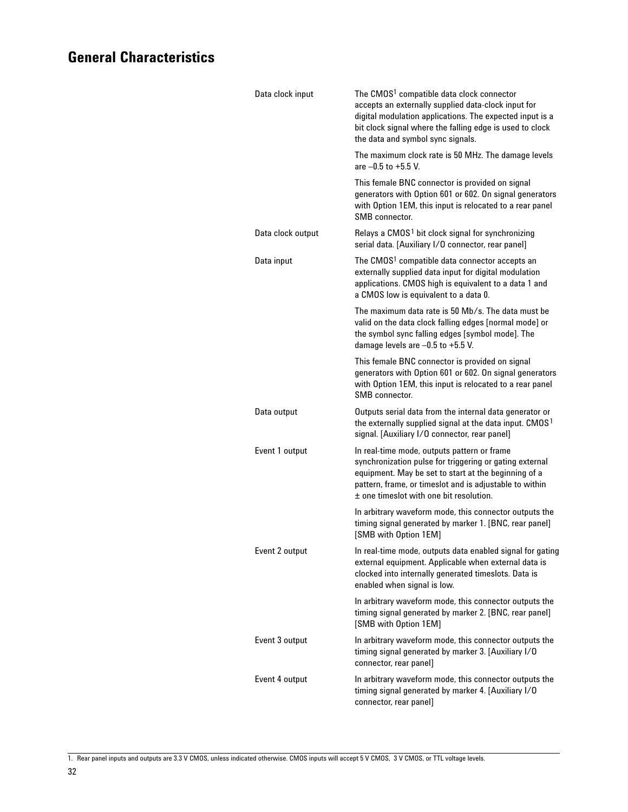| Data clock input  | The CMOS <sup>1</sup> compatible data clock connector<br>accepts an externally supplied data-clock input for<br>digital modulation applications. The expected input is a<br>bit clock signal where the falling edge is used to clock<br>the data and symbol sync signals. |
|-------------------|---------------------------------------------------------------------------------------------------------------------------------------------------------------------------------------------------------------------------------------------------------------------------|
|                   | The maximum clock rate is 50 MHz. The damage levels<br>are $-0.5$ to $+5.5$ V.                                                                                                                                                                                            |
|                   | This female BNC connector is provided on signal<br>generators with Option 601 or 602. On signal generators<br>with Option 1EM, this input is relocated to a rear panel<br>SMB connector.                                                                                  |
| Data clock output | Relays a CMOS <sup>1</sup> bit clock signal for synchronizing<br>serial data. [Auxiliary I/O connector, rear panel]                                                                                                                                                       |
| Data input        | The CMOS <sup>1</sup> compatible data connector accepts an<br>externally supplied data input for digital modulation<br>applications. CMOS high is equivalent to a data 1 and<br>a CMOS low is equivalent to a data 0.                                                     |
|                   | The maximum data rate is 50 Mb/s. The data must be<br>valid on the data clock falling edges [normal mode] or<br>the symbol sync falling edges [symbol mode]. The<br>damage levels are -0.5 to +5.5 V.                                                                     |
|                   | This female BNC connector is provided on signal<br>generators with Option 601 or 602. On signal generators<br>with Option 1EM, this input is relocated to a rear panel<br>SMB connector.                                                                                  |
| Data output       | Outputs serial data from the internal data generator or<br>the externally supplied signal at the data input. CMOS <sup>1</sup><br>signal. [Auxiliary I/O connector, rear panel]                                                                                           |
| Event 1 output    | In real-time mode, outputs pattern or frame<br>synchronization pulse for triggering or gating external<br>equipment. May be set to start at the beginning of a<br>pattern, frame, or timeslot and is adjustable to within<br>$\pm$ one timeslot with one bit resolution.  |
|                   | In arbitrary waveform mode, this connector outputs the<br>timing signal generated by marker 1. [BNC, rear panel]<br>[SMB with Option 1EM]                                                                                                                                 |
| Event 2 output    | In real-time mode, outputs data enabled signal for gating<br>external equipment. Applicable when external data is<br>clocked into internally generated timeslots. Data is<br>enabled when signal is low.                                                                  |
|                   | In arbitrary waveform mode, this connector outputs the<br>timing signal generated by marker 2. [BNC, rear panel]<br>[SMB with Option 1EM]                                                                                                                                 |
| Event 3 output    | In arbitrary waveform mode, this connector outputs the<br>timing signal generated by marker 3. [Auxiliary I/O<br>connector, rear panel]                                                                                                                                   |
| Event 4 output    | In arbitrary waveform mode, this connector outputs the<br>timing signal generated by marker 4. [Auxiliary I/O<br>connector, rear panel]                                                                                                                                   |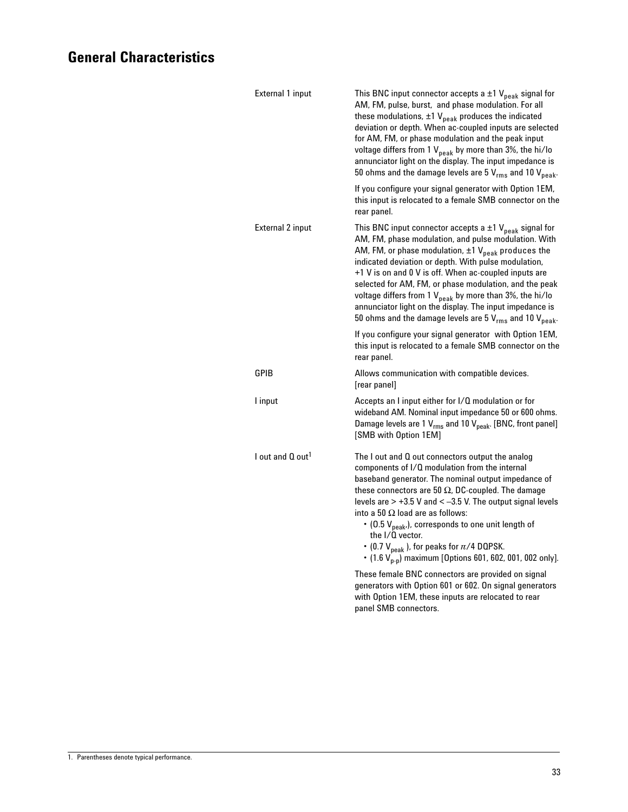| External 1 input             | This BNC input connector accepts a $\pm 1$ V <sub>peak</sub> signal for<br>AM, FM, pulse, burst, and phase modulation. For all<br>these modulations, $\pm 1$ V <sub>peak</sub> produces the indicated<br>deviation or depth. When ac-coupled inputs are selected<br>for AM, FM, or phase modulation and the peak input<br>voltage differs from 1 $V_{peak}$ by more than 3%, the hi/lo<br>annunciator light on the display. The input impedance is<br>50 ohms and the damage levels are 5 $V_{rms}$ and 10 $V_{peak}$ .                                                                   |
|------------------------------|-------------------------------------------------------------------------------------------------------------------------------------------------------------------------------------------------------------------------------------------------------------------------------------------------------------------------------------------------------------------------------------------------------------------------------------------------------------------------------------------------------------------------------------------------------------------------------------------|
|                              | If you configure your signal generator with Option 1EM,<br>this input is relocated to a female SMB connector on the<br>rear panel.                                                                                                                                                                                                                                                                                                                                                                                                                                                        |
| External 2 input             | This BNC input connector accepts a $\pm 1$ V <sub>peak</sub> signal for<br>AM, FM, phase modulation, and pulse modulation. With<br>AM, FM, or phase modulation, $\pm 1$ V <sub>peak</sub> produces the<br>indicated deviation or depth. With pulse modulation,<br>+1 V is on and 0 V is off. When ac-coupled inputs are<br>selected for AM, FM, or phase modulation, and the peak<br>voltage differs from 1 $V_{\text{peak}}$ by more than 3%, the hi/lo<br>annunciator light on the display. The input impedance is<br>50 ohms and the damage levels are 5 $V_{rms}$ and 10 $V_{peak}$ . |
|                              | If you configure your signal generator with Option 1EM,<br>this input is relocated to a female SMB connector on the<br>rear panel.                                                                                                                                                                                                                                                                                                                                                                                                                                                        |
| GPIB                         | Allows communication with compatible devices.<br>[rear panel]                                                                                                                                                                                                                                                                                                                                                                                                                                                                                                                             |
| l input                      | Accepts an I input either for I/Q modulation or for<br>wideband AM. Nominal input impedance 50 or 600 ohms.<br>Damage levels are 1 V <sub>rms</sub> and 10 V <sub>peak</sub> . [BNC, front panel]<br>[SMB with Option 1EM]                                                                                                                                                                                                                                                                                                                                                                |
| I out and Q out <sup>1</sup> | The $\sf I$ out and $\sf Q$ out connectors output the analog<br>components of I/Q modulation from the internal<br>baseband generator. The nominal output impedance of<br>these connectors are 50 $\Omega$ , DC-coupled. The damage<br>levels are $> +3.5$ V and $< -3.5$ V. The output signal levels<br>into a 50 $\Omega$ load are as follows:<br>$\cdot$ (0.5 V <sub>peak</sub> ,), corresponds to one unit length of<br>the I/Q vector.<br>• (0.7 $V_{peak}$ ), for peaks for $\pi/4$ DQPSK.<br>• (1.6 $V_{p-p}$ ) maximum [Options 601, 602, 001, 002 only].                          |
|                              | These female BNC connectors are provided on signal<br>generators with Option 601 or 602. On signal generators<br>with Option 1EM, these inputs are relocated to rear<br>panel SMB connectors.                                                                                                                                                                                                                                                                                                                                                                                             |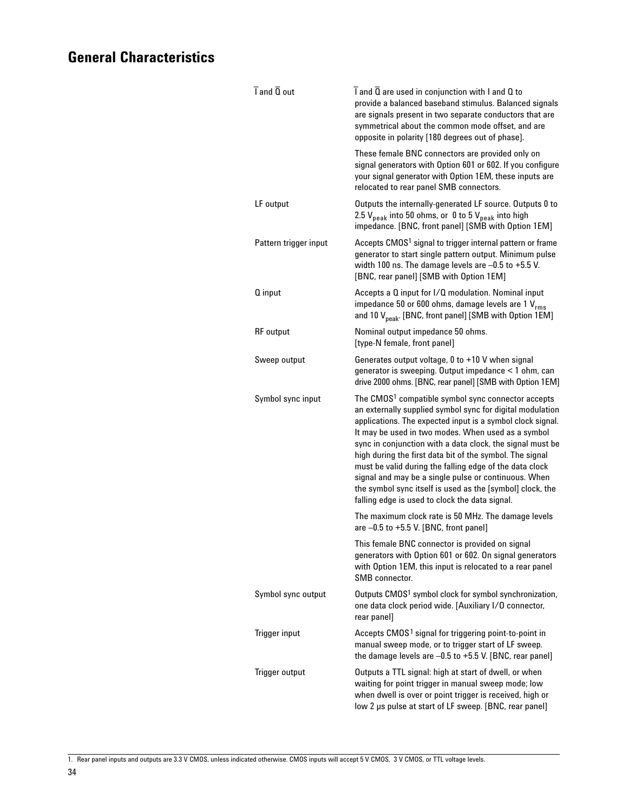| $\overline{I}$ and $\overline{Q}$ out | I and Q are used in conjunction with I and Q to<br>provide a balanced baseband stimulus. Balanced signals<br>are signals present in two separate conductors that are<br>symmetrical about the common mode offset, and are<br>opposite in polarity [180 degrees out of phase].                                                                                                                                                                                                                                                                                                                              |
|---------------------------------------|------------------------------------------------------------------------------------------------------------------------------------------------------------------------------------------------------------------------------------------------------------------------------------------------------------------------------------------------------------------------------------------------------------------------------------------------------------------------------------------------------------------------------------------------------------------------------------------------------------|
|                                       | These female BNC connectors are provided only on<br>signal generators with Option 601 or 602. If you configure<br>your signal generator with Option 1EM, these inputs are<br>relocated to rear panel SMB connectors.                                                                                                                                                                                                                                                                                                                                                                                       |
| LF output                             | Outputs the internally-generated LF source. Outputs 0 to<br>2.5 V <sub>peak</sub> into 50 ohms, or 0 to 5 V <sub>peak</sub> into high<br>impedance. [BNC, front panel] [SMB with Option 1EM]                                                                                                                                                                                                                                                                                                                                                                                                               |
| Pattern trigger input                 | Accepts CMOS <sup>1</sup> signal to trigger internal pattern or frame<br>generator to start single pattern output. Minimum pulse<br>width 100 ns. The damage levels are $-0.5$ to $+5.5$ V.<br>[BNC, rear panel] [SMB with Option 1EM]                                                                                                                                                                                                                                                                                                                                                                     |
| Q input                               | Accepts a Q input for I/Q modulation. Nominal input<br>impedance 50 or 600 ohms, damage levels are 1 V <sub>rms</sub><br>and 10 V <sub>peak</sub> . [BNC, front panel] [SMB with Option 1EM]                                                                                                                                                                                                                                                                                                                                                                                                               |
| <b>RF</b> output                      | Nominal output impedance 50 ohms.<br>[type-N female, front panel]                                                                                                                                                                                                                                                                                                                                                                                                                                                                                                                                          |
| Sweep output                          | Generates output voltage, 0 to +10 V when signal<br>generator is sweeping. Output impedance < 1 ohm, can<br>drive 2000 ohms. [BNC, rear panel] [SMB with Option 1EM]                                                                                                                                                                                                                                                                                                                                                                                                                                       |
| Symbol sync input                     | The CMOS <sup>1</sup> compatible symbol sync connector accepts<br>an externally supplied symbol sync for digital modulation<br>applications. The expected input is a symbol clock signal.<br>It may be used in two modes. When used as a symbol<br>sync in conjunction with a data clock, the signal must be<br>high during the first data bit of the symbol. The signal<br>must be valid during the falling edge of the data clock<br>signal and may be a single pulse or continuous. When<br>the symbol sync itself is used as the [symbol] clock, the<br>falling edge is used to clock the data signal. |
|                                       | The maximum clock rate is 50 MHz. The damage levels<br>are $-0.5$ to $+5.5$ V. [BNC, front panel]                                                                                                                                                                                                                                                                                                                                                                                                                                                                                                          |
|                                       | This female BNC connector is provided on signal<br>generators with Option 601 or 602. On signal generators<br>with Option 1EM, this input is relocated to a rear panel<br>SMB connector.                                                                                                                                                                                                                                                                                                                                                                                                                   |
| Symbol sync output                    | Outputs CMOS <sup>1</sup> symbol clock for symbol synchronization,<br>one data clock period wide. [Auxiliary I/O connector,<br>rear panel]                                                                                                                                                                                                                                                                                                                                                                                                                                                                 |
| Trigger input                         | Accepts CMOS <sup>1</sup> signal for triggering point-to-point in<br>manual sweep mode, or to trigger start of LF sweep.<br>the damage levels are -0.5 to +5.5 V. [BNC, rear panel]                                                                                                                                                                                                                                                                                                                                                                                                                        |
| Trigger output                        | Outputs a TTL signal: high at start of dwell, or when<br>waiting for point trigger in manual sweep mode; low<br>when dwell is over or point trigger is received, high or<br>low 2 µs pulse at start of LF sweep. [BNC, rear panel]                                                                                                                                                                                                                                                                                                                                                                         |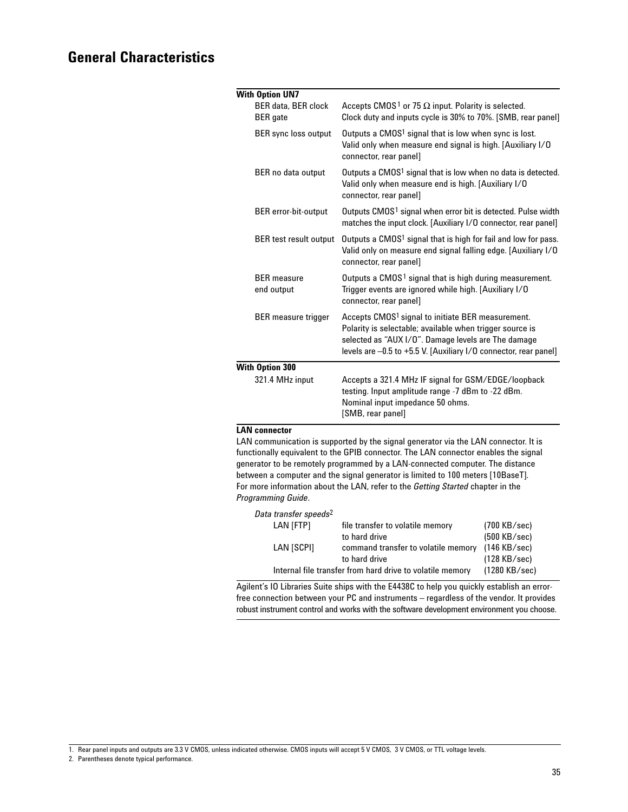| <b>With Option UN7</b>                        |                                                                                                                                                                                                                                                      |
|-----------------------------------------------|------------------------------------------------------------------------------------------------------------------------------------------------------------------------------------------------------------------------------------------------------|
| <b>BER data, BER clock</b><br><b>BER</b> gate | Accepts CMOS <sup>1</sup> or 75 $\Omega$ input. Polarity is selected.<br>Clock duty and inputs cycle is 30% to 70%. [SMB, rear panel]                                                                                                                |
| BER sync loss output                          | Outputs a CMOS <sup>1</sup> signal that is low when sync is lost.<br>Valid only when measure end signal is high. [Auxiliary I/O<br>connector, rear panel]                                                                                            |
| BER no data output                            | Outputs a CMOS <sup>1</sup> signal that is low when no data is detected.<br>Valid only when measure end is high. [Auxiliary I/O<br>connector, rear panel]                                                                                            |
| <b>BER</b> error-bit-output                   | Outputs CMOS <sup>1</sup> signal when error bit is detected. Pulse width<br>matches the input clock. [Auxiliary I/O connector, rear panel]                                                                                                           |
| <b>BER</b> test result output                 | Outputs a CMOS <sup>1</sup> signal that is high for fail and low for pass.<br>Valid only on measure end signal falling edge. [Auxiliary I/O<br>connector, rear panel]                                                                                |
| <b>BFR</b> measure<br>end output              | Outputs a CMOS <sup>1</sup> signal that is high during measurement.<br>Trigger events are ignored while high. [Auxiliary I/O<br>connector, rear panel]                                                                                               |
| <b>BER</b> measure trigger                    | Accepts CMOS <sup>1</sup> signal to initiate BER measurement.<br>Polarity is selectable; available when trigger source is<br>selected as "AUX I/O". Damage levels are The damage<br>levels are -0.5 to +5.5 V. [Auxiliary I/O connector, rear panel] |
| <b>With Option 300</b>                        |                                                                                                                                                                                                                                                      |
| 321.4 MHz input                               | Accepts a 321.4 MHz IF signal for GSM/EDGE/loopback<br>testing. Input amplitude range -7 dBm to -22 dBm.<br>Nominal input impedance 50 ohms.<br>[SMB, rear panel]                                                                                    |

#### **LAN connector**

LAN communication is supported by the signal generator via the LAN connector. It is functionally equivalent to the GPIB connector. The LAN connector enables the signal generator to be remotely programmed by a LAN-connected computer. The distance between a computer and the signal generator is limited to 100 meters [10BaseT]. For more information about the LAN, refer to the *Getting Started* chapter in the *Programming Guide*.

| Data transfer speeds <sup>2</sup>                         |                                     |                        |
|-----------------------------------------------------------|-------------------------------------|------------------------|
| LAN [FTP]                                                 | file transfer to volatile memory    | $(700 \text{ KB/sec})$ |
|                                                           | to hard drive                       | $(500$ KB/sec)         |
| LAN [SCPI]                                                | command transfer to volatile memory | $(146$ KB/sec)         |
|                                                           | to hard drive                       | (128 KB/sec)           |
| Internal file transfer from hard drive to volatile memory | $(1280$ KB/sec)                     |                        |
|                                                           |                                     |                        |

Agilent's IO Libraries Suite ships with the E4438C to help you quickly establish an errorfree connection between your PC and instruments – regardless of the vendor. It provides robust instrument control and works with the software development environment you choose.

<sup>1.</sup> Rear panel inputs and outputs are 3.3 V CMOS, unless indicated otherwise. CMOS inputs will accept 5 V CMOS, 3 V CMOS, or TTL voltage levels.

<sup>2.</sup> Parentheses denote typical performance.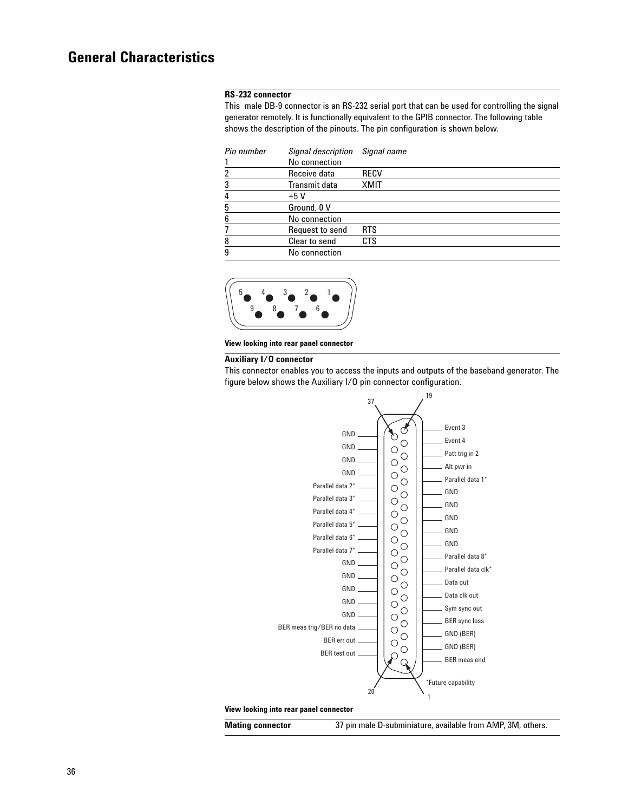#### **RS-232 connector**

This male DB-9 connector is an RS-232 serial port that can be used for controlling the signal generator remotely. It is functionally equivalent to the GPIB connector. The following table shows the description of the pinouts. The pin configuration is shown below.

| Pin number | Signal description   | Signal name |
|------------|----------------------|-------------|
|            | No connection        |             |
| 2          | Receive data         | RECV        |
| 3          | <b>Transmit data</b> | <b>XMIT</b> |
| 4          | $+5V$                |             |
| 5          | Ground, 0 V          |             |
| 6          | No connection        |             |
|            | Request to send      | <b>RTS</b>  |
| 8          | Clear to send        | <b>CTS</b>  |
| 9          | No connection        |             |



**View looking into rear panel connector**

#### **Auxiliary I/O connector**

This connector enables you to access the inputs and outputs of the baseband generator. The figure below shows the Auxiliary I/O pin connector configuration.



#### **View looking into rear panel connector**

**Mating connector** 37 pin male D-subminiature, available from AMP, 3M, others.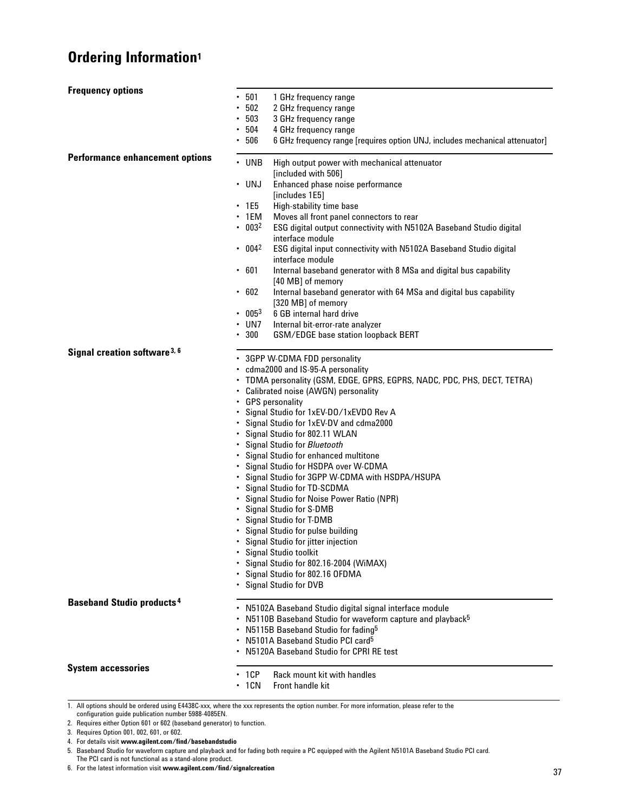# **Ordering Information1**

| <b>Frequency options</b>                    | 501<br>$\bullet$                                                                                                | 1 GHz frequency range                                                                  |  |
|---------------------------------------------|-----------------------------------------------------------------------------------------------------------------|----------------------------------------------------------------------------------------|--|
|                                             | 502<br>$\bullet$                                                                                                | 2 GHz frequency range                                                                  |  |
|                                             | • 503                                                                                                           | 3 GHz frequency range                                                                  |  |
|                                             | • 504                                                                                                           | 4 GHz frequency range                                                                  |  |
|                                             | .506                                                                                                            | 6 GHz frequency range [requires option UNJ, includes mechanical attenuator]            |  |
| <b>Performance enhancement options</b>      |                                                                                                                 |                                                                                        |  |
|                                             | $\cdot$ UNB                                                                                                     | High output power with mechanical attenuator<br>[included with 506]                    |  |
|                                             | $\cdot$ UNJ                                                                                                     | Enhanced phase noise performance                                                       |  |
|                                             |                                                                                                                 | [includes 1E5]                                                                         |  |
|                                             | $\cdot$ 1E5                                                                                                     | High-stability time base                                                               |  |
|                                             | $\cdot$ 1EM                                                                                                     | Moves all front panel connectors to rear                                               |  |
|                                             | $\cdot$ 003 <sup>2</sup>                                                                                        | ESG digital output connectivity with N5102A Baseband Studio digital                    |  |
|                                             |                                                                                                                 | interface module                                                                       |  |
|                                             | $\cdot$ 004 <sup>2</sup>                                                                                        | ESG digital input connectivity with N5102A Baseband Studio digital<br>interface module |  |
|                                             | .601                                                                                                            | Internal baseband generator with 8 MSa and digital bus capability                      |  |
|                                             |                                                                                                                 | [40 MB] of memory                                                                      |  |
|                                             | .602                                                                                                            | Internal baseband generator with 64 MSa and digital bus capability                     |  |
|                                             |                                                                                                                 | [320 MB] of memory                                                                     |  |
|                                             | . 0053                                                                                                          | 6 GB internal hard drive                                                               |  |
|                                             | $\cdot$ UN7<br>300<br>٠                                                                                         | Internal bit-error-rate analyzer                                                       |  |
|                                             |                                                                                                                 | GSM/EDGE base station loopback BERT                                                    |  |
| Signal creation software 3, 6               |                                                                                                                 | • 3GPP W-CDMA FDD personality                                                          |  |
|                                             | • cdma2000 and IS-95-A personality                                                                              |                                                                                        |  |
|                                             | TDMA personality (GSM, EDGE, GPRS, EGPRS, NADC, PDC, PHS, DECT, TETRA)<br>• Calibrated noise (AWGN) personality |                                                                                        |  |
|                                             |                                                                                                                 |                                                                                        |  |
|                                             |                                                                                                                 | • GPS personality                                                                      |  |
|                                             |                                                                                                                 | Signal Studio for 1xEV-DO/1xEVDO Rev A                                                 |  |
|                                             |                                                                                                                 | Signal Studio for 1xEV-DV and cdma2000                                                 |  |
|                                             | ٠                                                                                                               | Signal Studio for 802.11 WLAN                                                          |  |
|                                             | ٠.                                                                                                              | Signal Studio for Bluetooth                                                            |  |
|                                             |                                                                                                                 | Signal Studio for enhanced multitone                                                   |  |
|                                             |                                                                                                                 | Signal Studio for HSDPA over W-CDMA                                                    |  |
|                                             | ٠                                                                                                               | Signal Studio for 3GPP W-CDMA with HSDPA/HSUPA                                         |  |
|                                             | ٠                                                                                                               | Signal Studio for TD-SCDMA                                                             |  |
|                                             |                                                                                                                 | Signal Studio for Noise Power Ratio (NPR)                                              |  |
|                                             |                                                                                                                 | Signal Studio for S-DMB                                                                |  |
|                                             |                                                                                                                 | Signal Studio for T-DMB                                                                |  |
|                                             |                                                                                                                 | Signal Studio for pulse building                                                       |  |
|                                             |                                                                                                                 | • Signal Studio for jitter injection                                                   |  |
|                                             |                                                                                                                 | Signal Studio toolkit                                                                  |  |
|                                             |                                                                                                                 | Signal Studio for 802.16-2004 (WiMAX)                                                  |  |
|                                             |                                                                                                                 | Signal Studio for 802.16 OFDMA                                                         |  |
|                                             |                                                                                                                 | Signal Studio for DVB                                                                  |  |
| <b>Baseband Studio products<sup>4</sup></b> |                                                                                                                 | N5102A Baseband Studio digital signal interface module                                 |  |
|                                             |                                                                                                                 | N5110B Baseband Studio for waveform capture and playback <sup>5</sup>                  |  |
|                                             |                                                                                                                 | N5115B Baseband Studio for fading <sup>5</sup>                                         |  |
|                                             | ٠                                                                                                               | N5101A Baseband Studio PCI card <sup>5</sup>                                           |  |
|                                             |                                                                                                                 | N5120A Baseband Studio for CPRI RE test                                                |  |
|                                             |                                                                                                                 |                                                                                        |  |
| <b>System accessories</b>                   | 1CP                                                                                                             | Rack mount kit with handles                                                            |  |
|                                             | $\cdot$ 1CN                                                                                                     | Front handle kit                                                                       |  |

1. All options should be ordered using E4438C-xxx, where the xxx represents the option number. For more information, please refer to the configuration guide publication number 5988-4085EN.

3. Requires Option 001, 002, 601, or 602.

5. Baseband Studio for waveform capture and playback and for fading both require a PC equipped with the Agilent N5101A Baseband Studio PCI card. The PCI card is not functional as a stand-alone product.

6. For the latest information visit **www.agilent.com/find/signalcreation**

<sup>2.</sup> Requires either Option 601 or 602 (baseband generator) to function.

<sup>4.</sup> For details visit **www.agilent.com/find/basebandstudio**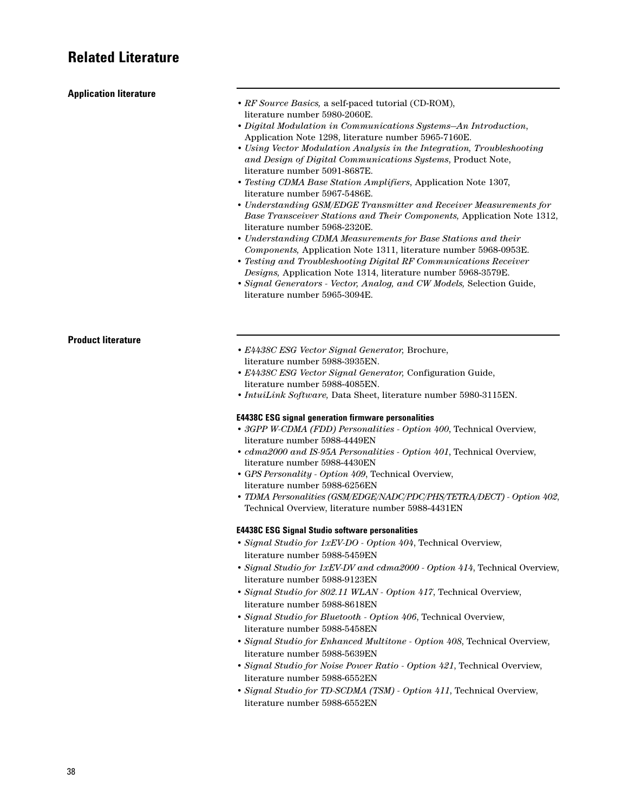## **Related Literature**

| <b>Application literature</b> |                                                                          |
|-------------------------------|--------------------------------------------------------------------------|
|                               | • RF Source Basics, a self-paced tutorial (CD-ROM),                      |
|                               | literature number 5980-2060E.                                            |
|                               | • Digital Modulation in Communications Systems-An Introduction,          |
|                               |                                                                          |
|                               | Application Note 1298, literature number 5965-7160E.                     |
|                               | • Using Vector Modulation Analysis in the Integration, Troubleshooting   |
|                               | and Design of Digital Communications Systems, Product Note,              |
|                               | literature number 5091-8687E.                                            |
|                               | • Testing CDMA Base Station Amplifiers, Application Note 1307,           |
|                               | literature number 5967-5486E.                                            |
|                               | • Understanding GSM/EDGE Transmitter and Receiver Measurements for       |
|                               | Base Transceiver Stations and Their Components, Application Note 1312,   |
|                               | literature number 5968-2320E.                                            |
|                               | • Understanding CDMA Measurements for Base Stations and their            |
|                               | Components, Application Note 1311, literature number 5968-0953E.         |
|                               | • Testing and Troubleshooting Digital RF Communications Receiver         |
|                               | Designs, Application Note 1314, literature number 5968-3579E.            |
|                               | • Signal Generators - Vector, Analog, and CW Models, Selection Guide,    |
|                               | literature number 5965-3094E.                                            |
|                               |                                                                          |
|                               |                                                                          |
|                               |                                                                          |
|                               |                                                                          |
| <b>Product literature</b>     |                                                                          |
|                               | • E4438C ESG Vector Signal Generator, Brochure,                          |
|                               | literature number 5988-3935EN.                                           |
|                               | • E4438C ESG Vector Signal Generator, Configuration Guide,               |
|                               | literature number 5988-4085EN.                                           |
|                               | $\bullet$ IntuiLink Software, Data Sheet, literature number 5980-3115EN. |
|                               | <b>E4438C ESG signal generation firmware personalities</b>               |
|                               | • 3GPP W-CDMA (FDD) Personalities - Option 400, Technical Overview,      |
|                               | literature number 5988-4449EN                                            |
|                               | • cdma2000 and IS-95A Personalities - Option 401, Technical Overview,    |
|                               | literature number 5988-4430EN                                            |
|                               | • GPS Personality - Option 409, Technical Overview,                      |
|                               | literature number 5988-6256EN                                            |
|                               |                                                                          |
|                               | • TDMA Personalities (GSM/EDGE/NADC/PDC/PHS/TETRA/DECT) - Option 402,    |
|                               | Technical Overview, literature number 5988-4431EN                        |
|                               |                                                                          |
|                               | <b>E4438C ESG Signal Studio software personalities</b>                   |

- *Signal Studio for 1xEV-DO Option 404*, Technical Overview, literature number 5988-5459EN
- *Signal Studio for 1xEV-DV and cdma2000 Option 414*, Technical Overview, literature number 5988-9123EN
- *Signal Studio for 802.11 WLAN Option 417*, Technical Overview, literature number 5988-8618EN
- *Signal Studio for Bluetooth Option 406*, Technical Overview, literature number 5988-5458EN
- *Signal Studio for Enhanced Multitone Option 408*, Technical Overview, literature number 5988-5639EN
- *Signal Studio for Noise Power Ratio Option 421*, Technical Overview, literature number 5988-6552EN
- *Signal Studio for TD-SCDMA (TSM) Option 411*, Technical Overview, literature number 5988-6552EN